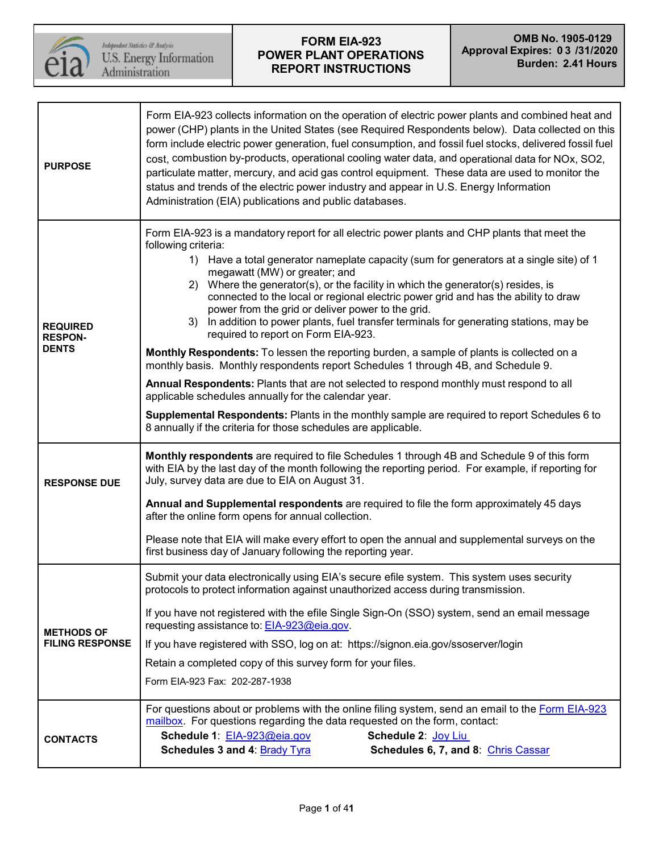

| <b>PURPOSE</b>                                    | Form EIA-923 collects information on the operation of electric power plants and combined heat and<br>power (CHP) plants in the United States (see Required Respondents below). Data collected on this<br>form include electric power generation, fuel consumption, and fossil fuel stocks, delivered fossil fuel<br>cost, combustion by-products, operational cooling water data, and operational data for NOx, SO2,<br>particulate matter, mercury, and acid gas control equipment. These data are used to monitor the<br>status and trends of the electric power industry and appear in U.S. Energy Information<br>Administration (EIA) publications and public databases.                                                                                                                                                                                                                                                                                                                                                                                                                                             |  |  |  |  |  |  |
|---------------------------------------------------|--------------------------------------------------------------------------------------------------------------------------------------------------------------------------------------------------------------------------------------------------------------------------------------------------------------------------------------------------------------------------------------------------------------------------------------------------------------------------------------------------------------------------------------------------------------------------------------------------------------------------------------------------------------------------------------------------------------------------------------------------------------------------------------------------------------------------------------------------------------------------------------------------------------------------------------------------------------------------------------------------------------------------------------------------------------------------------------------------------------------------|--|--|--|--|--|--|
| <b>REQUIRED</b><br><b>RESPON-</b><br><b>DENTS</b> | Form EIA-923 is a mandatory report for all electric power plants and CHP plants that meet the<br>following criteria:<br>1) Have a total generator nameplate capacity (sum for generators at a single site) of 1<br>megawatt (MW) or greater; and<br>2) Where the generator(s), or the facility in which the generator(s) resides, is<br>connected to the local or regional electric power grid and has the ability to draw<br>power from the grid or deliver power to the grid.<br>3) In addition to power plants, fuel transfer terminals for generating stations, may be<br>required to report on Form EIA-923.<br>Monthly Respondents: To lessen the reporting burden, a sample of plants is collected on a<br>monthly basis. Monthly respondents report Schedules 1 through 4B, and Schedule 9.<br>Annual Respondents: Plants that are not selected to respond monthly must respond to all<br>applicable schedules annually for the calendar year.<br>Supplemental Respondents: Plants in the monthly sample are required to report Schedules 6 to<br>8 annually if the criteria for those schedules are applicable. |  |  |  |  |  |  |
| <b>RESPONSE DUE</b>                               | Monthly respondents are required to file Schedules 1 through 4B and Schedule 9 of this form<br>with EIA by the last day of the month following the reporting period. For example, if reporting for<br>July, survey data are due to EIA on August 31.                                                                                                                                                                                                                                                                                                                                                                                                                                                                                                                                                                                                                                                                                                                                                                                                                                                                     |  |  |  |  |  |  |
|                                                   | Annual and Supplemental respondents are required to file the form approximately 45 days<br>after the online form opens for annual collection.                                                                                                                                                                                                                                                                                                                                                                                                                                                                                                                                                                                                                                                                                                                                                                                                                                                                                                                                                                            |  |  |  |  |  |  |
|                                                   | Please note that EIA will make every effort to open the annual and supplemental surveys on the<br>first business day of January following the reporting year.                                                                                                                                                                                                                                                                                                                                                                                                                                                                                                                                                                                                                                                                                                                                                                                                                                                                                                                                                            |  |  |  |  |  |  |
|                                                   | Submit your data electronically using EIA's secure efile system. This system uses security<br>protocols to protect information against unauthorized access during transmission.                                                                                                                                                                                                                                                                                                                                                                                                                                                                                                                                                                                                                                                                                                                                                                                                                                                                                                                                          |  |  |  |  |  |  |
| <b>METHODS OF</b><br><b>FILING RESPONSE</b>       | If you have not registered with the efile Single Sign-On (SSO) system, send an email message<br>requesting assistance to: EIA-923@eia.gov.<br>If you have registered with SSO, log on at: https://signon.eia.gov/ssoserver/login<br>Retain a completed copy of this survey form for your files.<br>Form EIA-923 Fax: 202-287-1938                                                                                                                                                                                                                                                                                                                                                                                                                                                                                                                                                                                                                                                                                                                                                                                        |  |  |  |  |  |  |
|                                                   |                                                                                                                                                                                                                                                                                                                                                                                                                                                                                                                                                                                                                                                                                                                                                                                                                                                                                                                                                                                                                                                                                                                          |  |  |  |  |  |  |
| <b>CONTACTS</b>                                   | For questions about or problems with the online filing system, send an email to the Form EIA-923<br>mailbox. For questions regarding the data requested on the form, contact:<br>Schedule 2: Joy Liu<br>Schedule 1: EIA-923@eia.gov<br>Schedules 3 and 4: Brady Tyra<br>Schedules 6, 7, and 8: Chris Cassar                                                                                                                                                                                                                                                                                                                                                                                                                                                                                                                                                                                                                                                                                                                                                                                                              |  |  |  |  |  |  |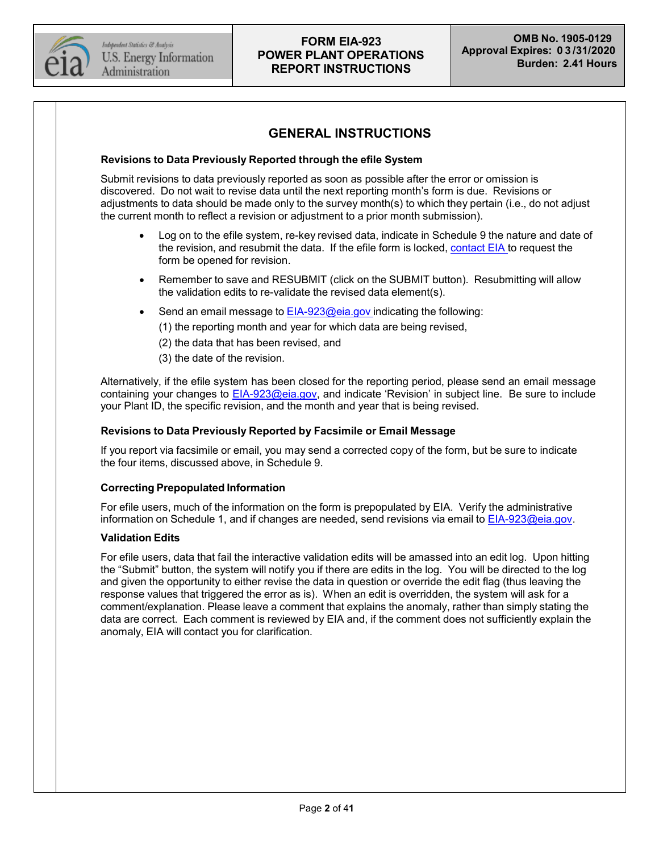

## **GENERAL INSTRUCTIONS**

#### **Revisions to Data Previously Reported through the efile System**

Submit revisions to data previously reported as soon as possible after the error or omission is discovered. Do not wait to revise data until the next reporting month's form is due. Revisions or adjustments to data should be made only to the survey month(s) to which they pertain (i.e., do not adjust the current month to reflect a revision or adjustment to a prior month submission).

- Log on to the efile system, re-key revised data, indicate in Schedule 9 the nature and date of the revision, and resubmit the data. If the efile form is locked, [contact](mailto:EIA-923@eia.gov) EIA to request the form be opened for revision.
- Remember to save and RESUBMIT (click on the SUBMIT button). Resubmitting will allow the validation edits to re-validate the revised data element(s).
- Send an email message to [EIA-923@eia.gov](mailto:eia-923@eia.gov) indicating the following:
	- (1) the reporting month and year for which data are being revised,
	- (2) the data that has been revised, and
	- (3) the date of the revision.

Alternatively, if the efile system has been closed for the reporting period, please send an email message containing your changes to [EIA-923@eia.gov,](mailto:eia-923@eia.gov) and indicate 'Revision' in subject line. Be sure to include your Plant ID, the specific revision, and the month and year that is being revised.

#### **Revisions to Data Previously Reported by Facsimile or Email Message**

If you report via facsimile or email, you may send a corrected copy of the form, but be sure to indicate the four items, discussed above, in Schedule 9.

#### **Correcting Prepopulated Information**

For efile users, much of the information on the form is prepopulated by EIA. Verify the administrative information on Schedule 1, and if changes are needed, send revisions via email to [EIA-923@eia.gov.](mailto:EIA-923@eia.gov)

#### **Validation Edits**

For efile users, data that fail the interactive validation edits will be amassed into an edit log. Upon hitting the "Submit" button, the system will notify you if there are edits in the log. You will be directed to the log and given the opportunity to either revise the data in question or override the edit flag (thus leaving the response values that triggered the error as is). When an edit is overridden, the system will ask for a comment/explanation. Please leave a comment that explains the anomaly, rather than simply stating the data are correct. Each comment is reviewed by EIA and, if the comment does not sufficiently explain the anomaly, EIA will contact you for clarification.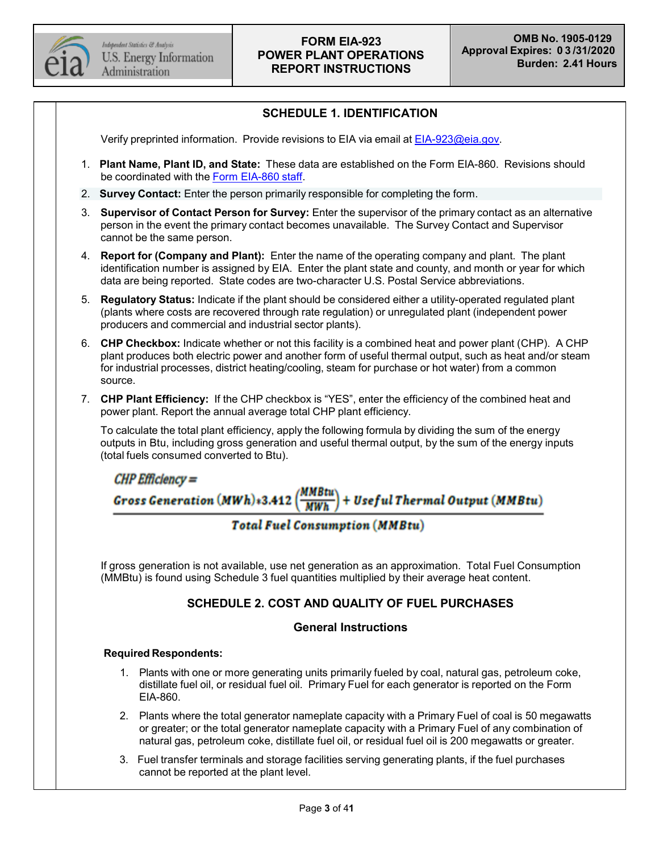

## **SCHEDULE 1. IDENTIFICATION**

Verify preprinted information. Provide revisions to EIA via email at [EIA-923@eia.gov.](mailto:EIA-923@eia.gov)

- 1. **Plant Name, Plant ID, and State:** These data are established on the Form EIA-860. Revisions should be coordinated with the Form [EIA-860](mailto:EIA-860@eia.gov) staff.
- 2. **Survey Contact:** Enter the person primarily responsible for completing the form.
- 3. **Supervisor of Contact Person for Survey:** Enter the supervisor of the primary contact as an alternative person in the event the primary contact becomes unavailable. The Survey Contact and Supervisor cannot be the same person.
- 4. **Report for (Company and Plant):** Enter the name of the operating company and plant. The plant identification number is assigned by EIA. Enter the plant state and county, and month or year for which data are being reported. State codes are two-character U.S. Postal Service abbreviations.
- 5. **Regulatory Status:** Indicate if the plant should be considered either a utility-operated regulated plant (plants where costs are recovered through rate regulation) or unregulated plant (independent power producers and commercial and industrial sector plants).
- 6. **CHP Checkbox:** Indicate whether or not this facility is a combined heat and power plant (CHP). A CHP plant produces both electric power and another form of useful thermal output, such as heat and/or steam for industrial processes, district heating/cooling, steam for purchase or hot water) from a common source.
- 7. **CHP Plant Efficiency:** If the CHP checkbox is "YES", enter the efficiency of the combined heat and power plant. Report the annual average total CHP plant efficiency.

To calculate the total plant efficiency, apply the following formula by dividing the sum of the energy outputs in Btu, including gross generation and useful thermal output, by the sum of the energy inputs (total fuels consumed converted to Btu).

 $CHP$  Efficiency  $=$ **Gross Generation (MWh)**\*3.412 (*MMBtu* + Useful Thermal Output (MMBtu)

## **Total Fuel Consumption (MMBtu)**

If gross generation is not available, use net generation as an approximation. Total Fuel Consumption (MMBtu) is found using Schedule 3 fuel quantities multiplied by their average heat content.

### **SCHEDULE 2. COST AND QUALITY OF FUEL PURCHASES**

#### **General Instructions**

#### **Required Respondents:**

- 1. Plants with one or more generating units primarily fueled by coal, natural gas, petroleum coke, distillate fuel oil, or residual fuel oil. Primary Fuel for each generator is reported on the Form EIA-860.
- 2. Plants where the total generator nameplate capacity with a Primary Fuel of coal is 50 megawatts or greater; or the total generator nameplate capacity with a Primary Fuel of any combination of natural gas, petroleum coke, distillate fuel oil, or residual fuel oil is 200 megawatts or greater.
- 3. Fuel transfer terminals and storage facilities serving generating plants, if the fuel purchases cannot be reported at the plant level.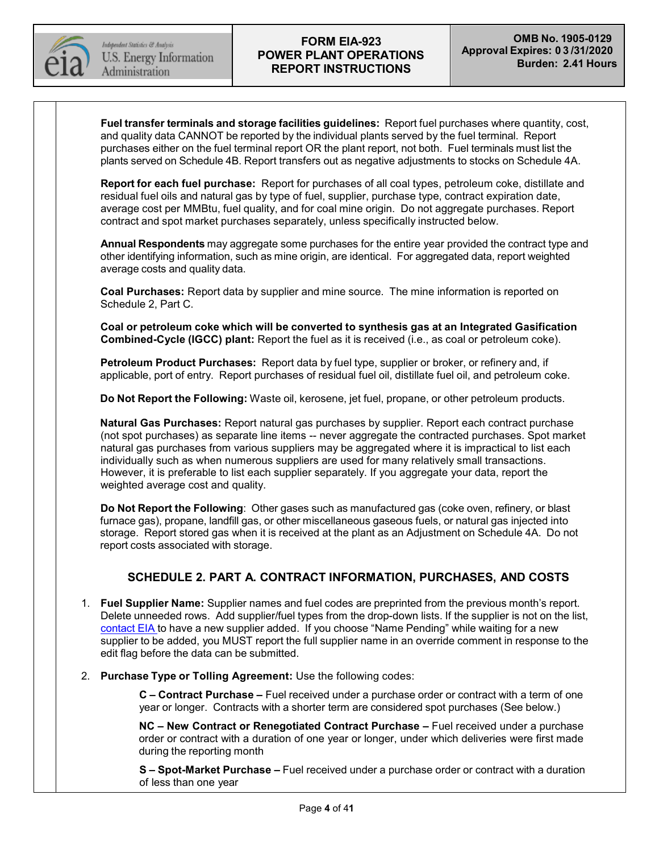

**Fuel transfer terminals and storage facilities guidelines:** Report fuel purchases where quantity, cost, and quality data CANNOT be reported by the individual plants served by the fuel terminal. Report purchases either on the fuel terminal report OR the plant report, not both. Fuel terminals must list the plants served on Schedule 4B. Report transfers out as negative adjustments to stocks on Schedule 4A.

**Report for each fuel purchase:** Report for purchases of all coal types, petroleum coke, distillate and residual fuel oils and natural gas by type of fuel, supplier, purchase type, contract expiration date, average cost per MMBtu, fuel quality, and for coal mine origin. Do not aggregate purchases. Report contract and spot market purchases separately, unless specifically instructed below.

**Annual Respondents** may aggregate some purchases for the entire year provided the contract type and other identifying information, such as mine origin, are identical. For aggregated data, report weighted average costs and quality data.

**Coal Purchases:** Report data by supplier and mine source. The mine information is reported on Schedule 2, Part C.

**Coal or petroleum coke which will be converted to synthesis gas at an Integrated Gasification Combined-Cycle (IGCC) plant:** Report the fuel as it is received (i.e., as coal or petroleum coke).

**Petroleum Product Purchases:** Report data by fuel type, supplier or broker, or refinery and, if applicable, port of entry. Report purchases of residual fuel oil, distillate fuel oil, and petroleum coke.

**Do Not Report the Following:** Waste oil, kerosene, jet fuel, propane, or other petroleum products.

**Natural Gas Purchases:** Report natural gas purchases by supplier. Report each contract purchase (not spot purchases) as separate line items -- never aggregate the contracted purchases. Spot market natural gas purchases from various suppliers may be aggregated where it is impractical to list each individually such as when numerous suppliers are used for many relatively small transactions. However, it is preferable to list each supplier separately. If you aggregate your data, report the weighted average cost and quality.

**Do Not Report the Following**: Other gases such as manufactured gas (coke oven, refinery, or blast furnace gas), propane, landfill gas, or other miscellaneous gaseous fuels, or natural gas injected into storage. Report stored gas when it is received at the plant as an Adjustment on Schedule 4A. Do not report costs associated with storage.

## **SCHEDULE 2. PART A. CONTRACT INFORMATION, PURCHASES, AND COSTS**

- 1. **Fuel Supplier Name:** Supplier names and fuel codes are preprinted from the previous month's report. Delete unneeded rows. Add supplier/fuel types from the drop-down lists. If the supplier is not on the list, [contact](mailto:EIA-923@eia.gov) EIA to have a new supplier added. If you choose "Name Pending" while waiting for a new supplier to be added, you MUST report the full supplier name in an override comment in response to the edit flag before the data can be submitted.
- 2. **Purchase Type or Tolling Agreement:** Use the following codes:

**C – Contract Purchase –** Fuel received under a purchase order or contract with a term of one year or longer. Contracts with a shorter term are considered spot purchases (See below.)

**NC – New Contract or Renegotiated Contract Purchase –** Fuel received under a purchase order or contract with a duration of one year or longer, under which deliveries were first made during the reporting month

**S – Spot-Market Purchase –** Fuel received under a purchase order or contract with a duration of less than one year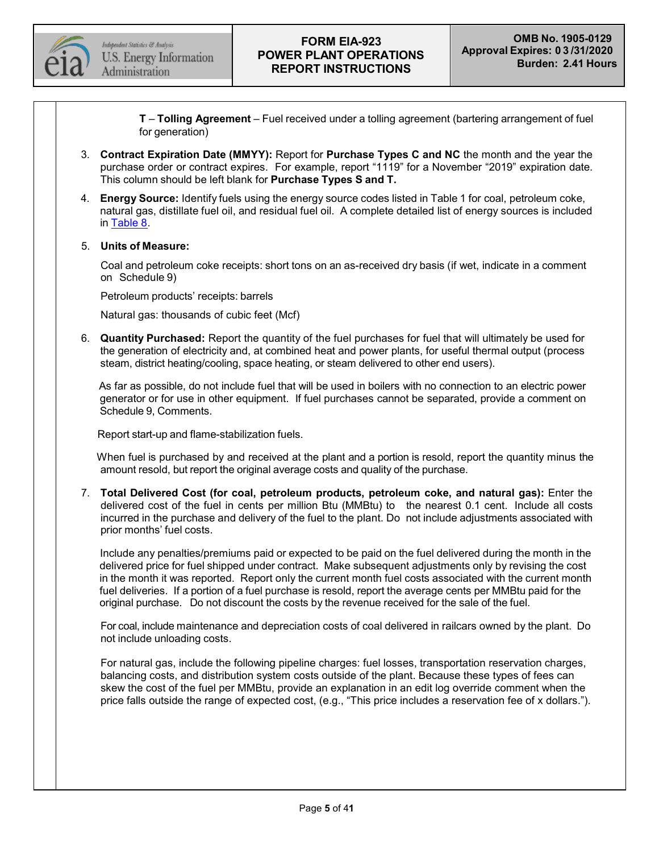

**T** – **Tolling Agreement** – Fuel received under a tolling agreement (bartering arrangement of fuel for generation)

- 3. **Contract Expiration Date (MMYY):** Report for **Purchase Types C and NC** the month and the year the purchase order or contract expires. For example, report "1119" for a November "2019" expiration date. This column should be left blank for **Purchase Types S and T.**
- 4. **Energy Source:** Identify fuels using the energy source codes listed in Table 1 for coal, petroleum coke, natural gas, distillate fuel oil, and residual fuel oil. A complete detailed list of energy sources is included in [Table](#page-31-0) 8.

#### 5. **Units of Measure:**

Coal and petroleum coke receipts: short tons on an as-received dry basis (if wet, indicate in a comment on Schedule 9)

Petroleum products' receipts: barrels

Natural gas: thousands of cubic feet (Mcf)

6. **Quantity Purchased:** Report the quantity of the fuel purchases for fuel that will ultimately be used for the generation of electricity and, at combined heat and power plants, for useful thermal output (process steam, district heating/cooling, space heating, or steam delivered to other end users).

As far as possible, do not include fuel that will be used in boilers with no connection to an electric power generator or for use in other equipment. If fuel purchases cannot be separated, provide a comment on Schedule 9, Comments.

Report start-up and flame-stabilization fuels.

When fuel is purchased by and received at the plant and a portion is resold, report the quantity minus the amount resold, but report the original average costs and quality of the purchase.

7. **Total Delivered Cost (for coal, petroleum products, petroleum coke, and natural gas):** Enter the delivered cost of the fuel in cents per million Btu (MMBtu) to the nearest 0.1 cent. Include all costs incurred in the purchase and delivery of the fuel to the plant. Do not include adjustments associated with prior months' fuel costs.

Include any penalties/premiums paid or expected to be paid on the fuel delivered during the month in the delivered price for fuel shipped under contract. Make subsequent adjustments only by revising the cost in the month it was reported. Report only the current month fuel costs associated with the current month fuel deliveries. If a portion of a fuel purchase is resold, report the average cents per MMBtu paid for the original purchase. Do not discount the costs by the revenue received for the sale of the fuel.

For coal, include maintenance and depreciation costs of coal delivered in railcars owned by the plant. Do not include unloading costs.

For natural gas, include the following pipeline charges: fuel losses, transportation reservation charges, balancing costs, and distribution system costs outside of the plant. Because these types of fees can skew the cost of the fuel per MMBtu, provide an explanation in an edit log override comment when the price falls outside the range of expected cost, (e.g., "This price includes a reservation fee of x dollars.").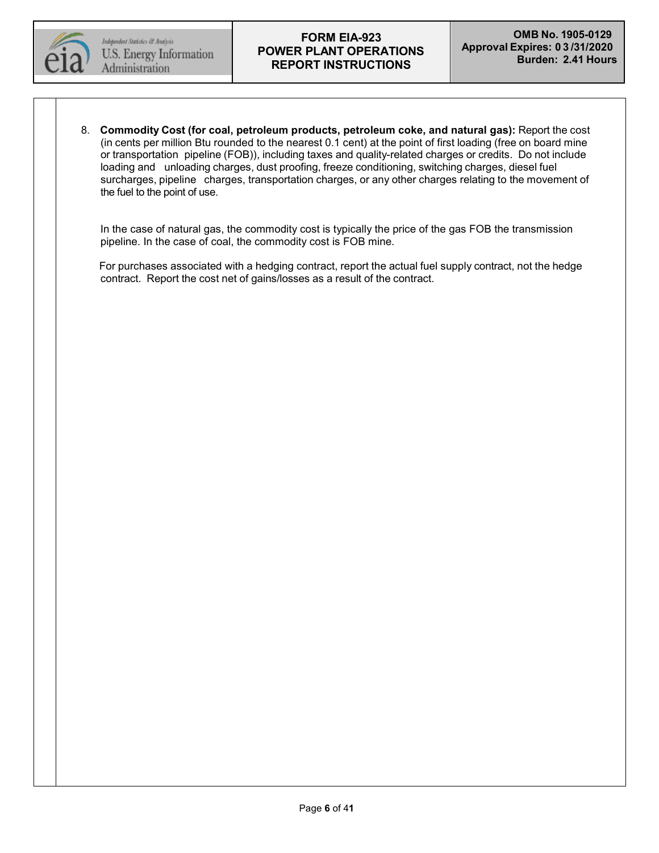

8. **Commodity Cost (for coal, petroleum products, petroleum coke, and natural gas):** Report the cost (in cents per million Btu rounded to the nearest 0.1 cent) at the point of first loading (free on board mine or transportation pipeline (FOB)), including taxes and quality-related charges or credits. Do not include loading and unloading charges, dust proofing, freeze conditioning, switching charges, diesel fuel surcharges, pipeline charges, transportation charges, or any other charges relating to the movement of the fuel to the point of use.

In the case of natural gas, the commodity cost is typically the price of the gas FOB the transmission pipeline. In the case of coal, the commodity cost is FOB mine.

For purchases associated with a hedging contract, report the actual fuel supply contract, not the hedge contract. Report the cost net of gains/losses as a result of the contract.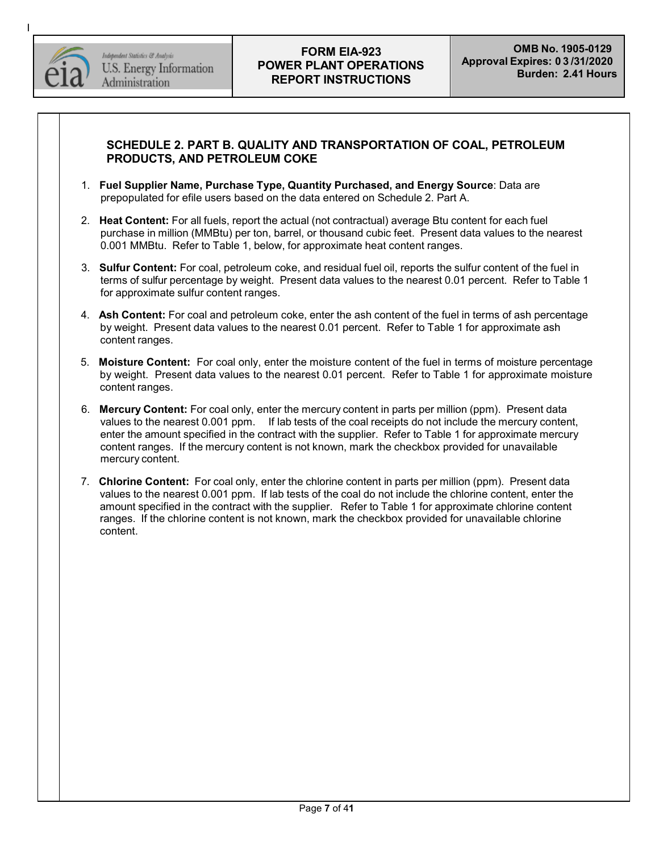

I

## **SCHEDULE 2. PART B. QUALITY AND TRANSPORTATION OF COAL, PETROLEUM PRODUCTS, AND PETROLEUM COKE**

- 1. **Fuel Supplier Name, Purchase Type, Quantity Purchased, and Energy Source**: Data are prepopulated for efile users based on the data entered on Schedule 2. Part A.
- 2. **Heat Content:** For all fuels, report the actual (not contractual) average Btu content for each fuel purchase in million (MMBtu) per ton, barrel, or thousand cubic feet. Present data values to the nearest 0.001 MMBtu. Refer to Table 1, below, for approximate heat content ranges.
- 3. **Sulfur Content:** For coal, petroleum coke, and residual fuel oil, reports the sulfur content of the fuel in terms of sulfur percentage by weight. Present data values to the nearest 0.01 percent. Refer to Table 1 for approximate sulfur content ranges.
- 4. **Ash Content:** For coal and petroleum coke, enter the ash content of the fuel in terms of ash percentage by weight. Present data values to the nearest 0.01 percent. Refer to Table 1 for approximate ash content ranges.
- 5. **Moisture Content:** For coal only, enter the moisture content of the fuel in terms of moisture percentage by weight. Present data values to the nearest 0.01 percent. Refer to Table 1 for approximate moisture content ranges.
- 6. **Mercury Content:** For coal only, enter the mercury content in parts per million (ppm). Present data values to the nearest 0.001 ppm. If lab tests of the coal receipts do not include the mercury content, enter the amount specified in the contract with the supplier. Refer to Table 1 for approximate mercury content ranges. If the mercury content is not known, mark the checkbox provided for unavailable mercury content.
- 7. **Chlorine Content:** For coal only, enter the chlorine content in parts per million (ppm). Present data values to the nearest 0.001 ppm. If lab tests of the coal do not include the chlorine content, enter the amount specified in the contract with the supplier. Refer to Table 1 for approximate chlorine content ranges. If the chlorine content is not known, mark the checkbox provided for unavailable chlorine content.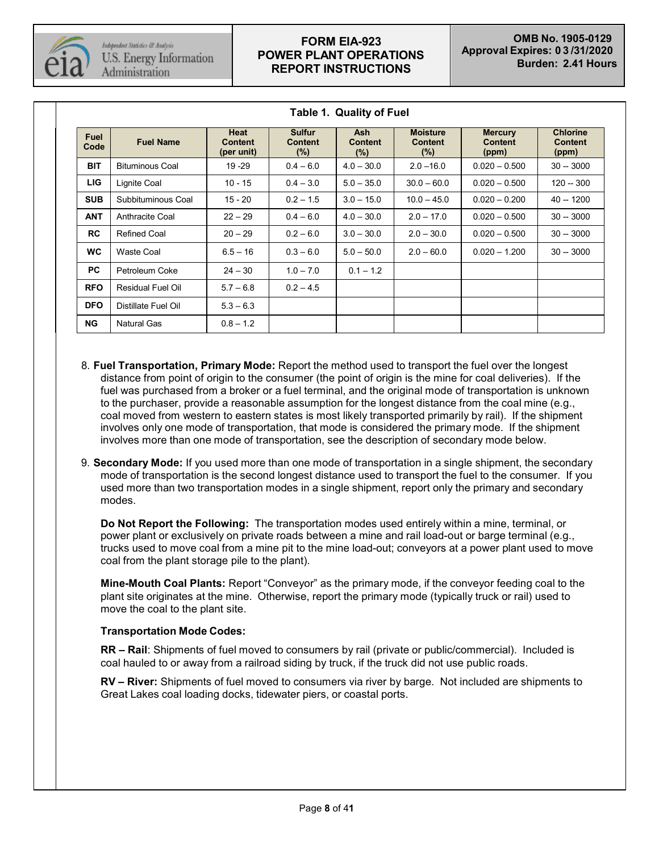

| <b>Fuel</b><br>Code | <b>Fuel Name</b>         | Heat<br><b>Content</b><br>(per unit) | <b>Sulfur</b><br><b>Content</b><br>$(\%)$ | <b>Ash</b><br><b>Content</b><br>$(\%)$ | <b>Moisture</b><br><b>Content</b><br>$(\% )$ | <b>Mercury</b><br><b>Content</b><br>(ppm) | <b>Chlorine</b><br><b>Content</b><br>(ppm) |
|---------------------|--------------------------|--------------------------------------|-------------------------------------------|----------------------------------------|----------------------------------------------|-------------------------------------------|--------------------------------------------|
| <b>BIT</b>          | <b>Bituminous Coal</b>   | 19 - 29                              | $0.4 - 6.0$                               | $4.0 - 30.0$                           | $2.0 - 16.0$                                 | $0.020 - 0.500$                           | $30 - 3000$                                |
| <b>LIG</b>          | Lignite Coal             | $10 - 15$                            | $0.4 - 3.0$                               | $5.0 - 35.0$                           | $30.0 - 60.0$                                | $0.020 - 0.500$                           | $120 - 300$                                |
| <b>SUB</b>          | Subbituminous Coal       | 15 - 20                              | $0.2 - 1.5$                               | $3.0 - 15.0$                           | $10.0 - 45.0$                                | $0.020 - 0.200$                           | $40 - 1200$                                |
| <b>ANT</b>          | Anthracite Coal          | $22 - 29$                            | $0.4 - 6.0$                               | $4.0 - 30.0$                           | $2.0 - 17.0$                                 | $0.020 - 0.500$                           | $30 - 3000$                                |
| <b>RC</b>           | <b>Refined Coal</b>      | $20 - 29$                            | $0.2 - 6.0$                               | $3.0 - 30.0$                           | $2.0 - 30.0$                                 | $0.020 - 0.500$                           | $30 - 3000$                                |
| <b>WC</b>           | Waste Coal               | $6.5 - 16$                           | $0.3 - 6.0$                               | $5.0 - 50.0$                           | $2.0 - 60.0$                                 | $0.020 - 1.200$                           | $30 - 3000$                                |
| <b>PC</b>           | Petroleum Coke           | $24 - 30$                            | $1.0 - 7.0$                               | $0.1 - 1.2$                            |                                              |                                           |                                            |
| <b>RFO</b>          | <b>Residual Fuel Oil</b> | $5.7 - 6.8$                          | $0.2 - 4.5$                               |                                        |                                              |                                           |                                            |
| <b>DFO</b>          | Distillate Fuel Oil      | $5.3 - 6.3$                          |                                           |                                        |                                              |                                           |                                            |
| NG.                 | <b>Natural Gas</b>       | $0.8 - 1.2$                          |                                           |                                        |                                              |                                           |                                            |

**Table 1. Quality of Fuel**

- 8. **Fuel Transportation, Primary Mode:** Report the method used to transport the fuel over the longest distance from point of origin to the consumer (the point of origin is the mine for coal deliveries). If the fuel was purchased from a broker or a fuel terminal, and the original mode of transportation is unknown to the purchaser, provide a reasonable assumption for the longest distance from the coal mine (e.g., coal moved from western to eastern states is most likely transported primarily by rail). If the shipment involves only one mode of transportation, that mode is considered the primary mode. If the shipment involves more than one mode of transportation, see the description of secondary mode below.
- 9. **Secondary Mode:** If you used more than one mode of transportation in a single shipment, the secondary mode of transportation is the second longest distance used to transport the fuel to the consumer. If you used more than two transportation modes in a single shipment, report only the primary and secondary modes.

**Do Not Report the Following:** The transportation modes used entirely within a mine, terminal, or power plant or exclusively on private roads between a mine and rail load-out or barge terminal (e.g., trucks used to move coal from a mine pit to the mine load-out; conveyors at a power plant used to move coal from the plant storage pile to the plant).

**Mine-Mouth Coal Plants:** Report "Conveyor" as the primary mode, if the conveyor feeding coal to the plant site originates at the mine. Otherwise, report the primary mode (typically truck or rail) used to move the coal to the plant site.

### **Transportation Mode Codes:**

**RR – Rail**: Shipments of fuel moved to consumers by rail (private or public/commercial). Included is coal hauled to or away from a railroad siding by truck, if the truck did not use public roads.

**RV – River:** Shipments of fuel moved to consumers via river by barge. Not included are shipments to Great Lakes coal loading docks, tidewater piers, or coastal ports.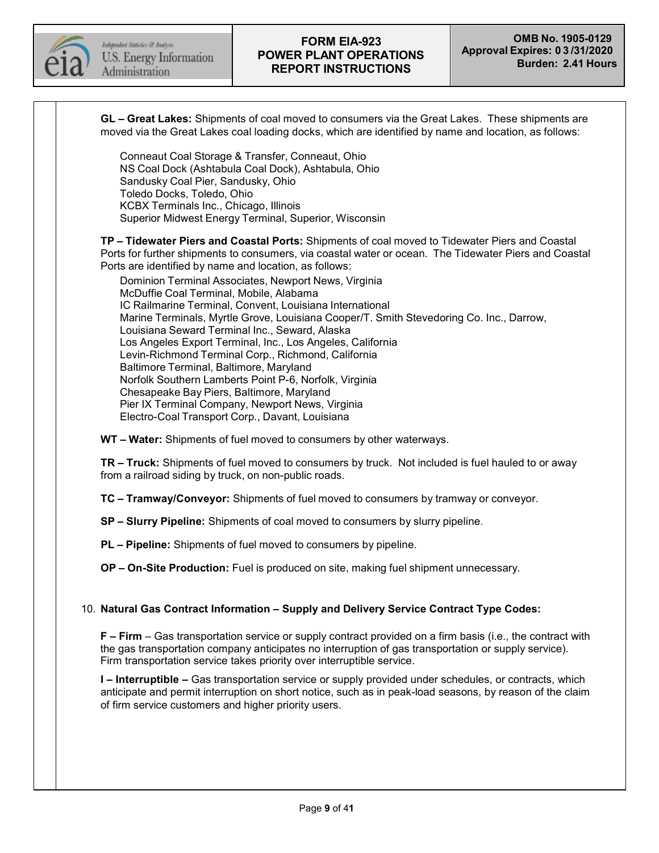

**GL – Great Lakes:** Shipments of coal moved to consumers via the Great Lakes. These shipments are moved via the Great Lakes coal loading docks, which are identified by name and location, as follows: Conneaut Coal Storage & Transfer, Conneaut, Ohio NS Coal Dock (Ashtabula Coal Dock), Ashtabula, Ohio Sandusky Coal Pier, Sandusky, Ohio Toledo Docks, Toledo, Ohio KCBX Terminals Inc., Chicago, Illinois Superior Midwest Energy Terminal, Superior, Wisconsin **TP – Tidewater Piers and Coastal Ports:** Shipments of coal moved to Tidewater Piers and Coastal Ports for further shipments to consumers, via coastal water or ocean. The Tidewater Piers and Coastal Ports are identified by name and location, as follows: Dominion Terminal Associates, Newport News, Virginia McDuffie Coal Terminal, Mobile, Alabama IC Railmarine Terminal, Convent, Louisiana International Marine Terminals, Myrtle Grove, Louisiana Cooper/T. Smith Stevedoring Co. Inc., Darrow, Louisiana Seward Terminal Inc., Seward, Alaska Los Angeles Export Terminal, Inc., Los Angeles, California Levin-Richmond Terminal Corp., Richmond, California Baltimore Terminal, Baltimore, Maryland Norfolk Southern Lamberts Point P-6, Norfolk, Virginia Chesapeake Bay Piers, Baltimore, Maryland Pier IX Terminal Company, Newport News, Virginia Electro-Coal Transport Corp., Davant, Louisiana **WT – Water:** Shipments of fuel moved to consumers by other waterways. **TR – Truck:** Shipments of fuel moved to consumers by truck. Not included is fuel hauled to or away from a railroad siding by truck, on non-public roads. **TC – Tramway/Conveyor:** Shipments of fuel moved to consumers by tramway or conveyor. **SP – Slurry Pipeline:** Shipments of coal moved to consumers by slurry pipeline. **PL – Pipeline:** Shipments of fuel moved to consumers by pipeline. **OP – On-Site Production:** Fuel is produced on site, making fuel shipment unnecessary. 10. **Natural Gas Contract Information – Supply and Delivery Service Contract Type Codes: F – Firm** – Gas transportation service or supply contract provided on a firm basis (i.e., the contract with the gas transportation company anticipates no interruption of gas transportation or supply service). Firm transportation service takes priority over interruptible service. **I – Interruptible –** Gas transportation service or supply provided under schedules, or contracts, which anticipate and permit interruption on short notice, such as in peak-load seasons, by reason of the claim of firm service customers and higher priority users.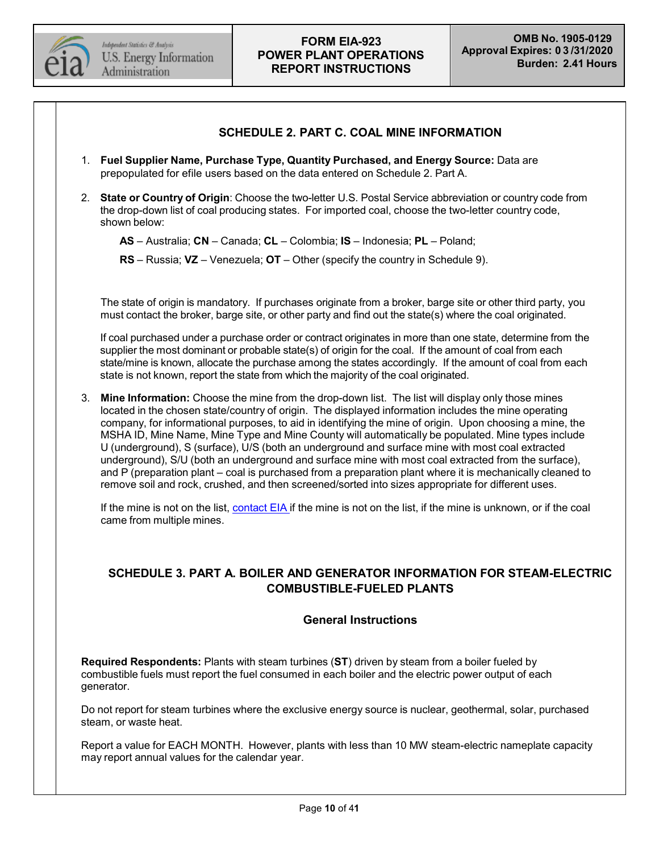

### **SCHEDULE 2. PART C. COAL MINE INFORMATION**

- 1. **Fuel Supplier Name, Purchase Type, Quantity Purchased, and Energy Source:** Data are prepopulated for efile users based on the data entered on Schedule 2. Part A.
- 2. **State or Country of Origin**: Choose the two-letter U.S. Postal Service abbreviation or country code from the drop-down list of coal producing states. For imported coal, choose the two-letter country code, shown below:

**AS** – Australia; **CN** – Canada; **CL** – Colombia; **IS** – Indonesia; **PL** – Poland;

**RS** – Russia; **VZ** – Venezuela; **OT** – Other (specify the country in Schedule 9).

The state of origin is mandatory. If purchases originate from a broker, barge site or other third party, you must contact the broker, barge site, or other party and find out the state(s) where the coal originated.

If coal purchased under a purchase order or contract originates in more than one state, determine from the supplier the most dominant or probable state(s) of origin for the coal. If the amount of coal from each state/mine is known, allocate the purchase among the states accordingly. If the amount of coal from each state is not known, report the state from which the majority of the coal originated.

3. **Mine Information:** Choose the mine from the drop-down list. The list will display only those mines located in the chosen state/country of origin. The displayed information includes the mine operating company, for informational purposes, to aid in identifying the mine of origin. Upon choosing a mine, the MSHA ID, Mine Name, Mine Type and Mine County will automatically be populated. Mine types include U (underground), S (surface), U/S (both an underground and surface mine with most coal extracted underground), S/U (both an underground and surface mine with most coal extracted from the surface), and P (preparation plant – coal is purchased from a preparation plant where it is mechanically cleaned to remove soil and rock, crushed, and then screened/sorted into sizes appropriate for different uses.

If the mine is not on the list, [contact](mailto:EIA-923@eia.gov) EIA if the mine is not on the list, if the mine is unknown, or if the coal came from multiple mines.

## **SCHEDULE 3. PART A. BOILER AND GENERATOR INFORMATION FOR STEAM-ELECTRIC COMBUSTIBLE-FUELED PLANTS**

### **General Instructions**

**Required Respondents:** Plants with steam turbines (**ST**) driven by steam from a boiler fueled by combustible fuels must report the fuel consumed in each boiler and the electric power output of each generator.

Do not report for steam turbines where the exclusive energy source is nuclear, geothermal, solar, purchased steam, or waste heat.

Report a value for EACH MONTH. However, plants with less than 10 MW steam-electric nameplate capacity may report annual values for the calendar year.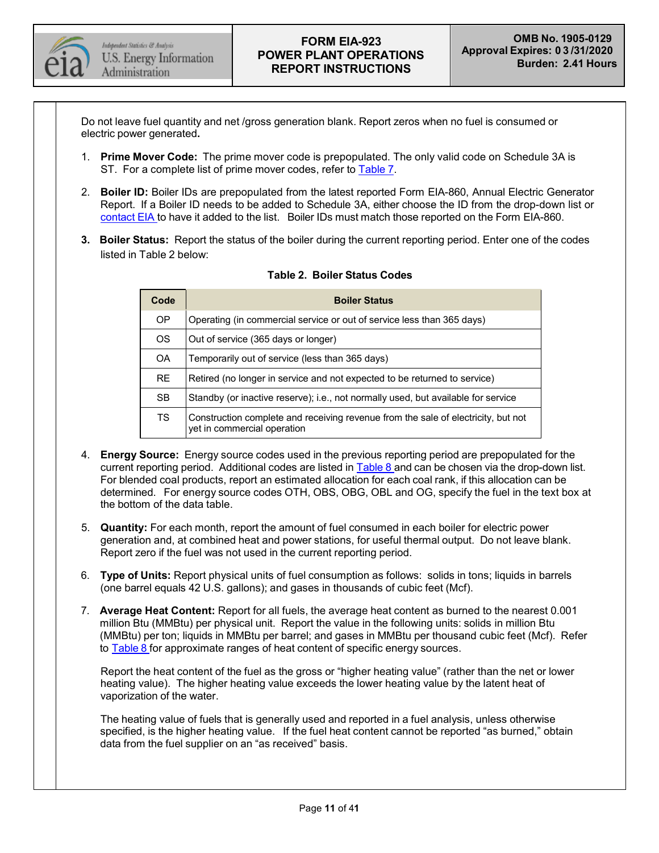

Do not leave fuel quantity and net /gross generation blank. Report zeros when no fuel is consumed or electric power generated**.**

- 1. **Prime Mover Code:** The prime mover code is prepopulated. The only valid code on Schedule 3A is ST. For a complete list of prime mover codes, refer to [Table](#page-30-0) 7.
- 2. **Boiler ID:** Boiler IDs are prepopulated from the latest reported Form EIA-860, Annual Electric Generator Report. If a Boiler ID needs to be added to Schedule 3A, either choose the ID from the drop-down list or [contact](mailto:EIA-923@eia.gov) EIA to have it added to the list. Boiler IDs must match those reported on the Form EIA-860.
- **3. Boiler Status:** Report the status of the boiler during the current reporting period. Enter one of the codes listed in Table 2 below:

| Code      | <b>Boiler Status</b>                                                                                             |  |
|-----------|------------------------------------------------------------------------------------------------------------------|--|
| <b>OP</b> | Operating (in commercial service or out of service less than 365 days)                                           |  |
| <b>OS</b> | Out of service (365 days or longer)                                                                              |  |
| <b>OA</b> | Temporarily out of service (less than 365 days)                                                                  |  |
| <b>RE</b> | Retired (no longer in service and not expected to be returned to service)                                        |  |
| <b>SB</b> | Standby (or inactive reserve); i.e., not normally used, but available for service                                |  |
| <b>TS</b> | Construction complete and receiving revenue from the sale of electricity, but not<br>yet in commercial operation |  |

#### **Table 2. Boiler Status Codes**

- 4. **Energy Source:** Energy source codes used in the previous reporting period are prepopulated for the current reporting period. Additional codes are listed in [Table](#page-31-0) 8 and can be chosen via the drop-down list. For blended coal products, report an estimated allocation for each coal rank, if this allocation can be determined. For energy source codes OTH, OBS, OBG, OBL and OG, specify the fuel in the text box at the bottom of the data table.
- 5. **Quantity:** For each month, report the amount of fuel consumed in each boiler for electric power generation and, at combined heat and power stations, for useful thermal output. Do not leave blank. Report zero if the fuel was not used in the current reporting period.
- 6. **Type of Units:** Report physical units of fuel consumption as follows: solids in tons; liquids in barrels (one barrel equals 42 U.S. gallons); and gases in thousands of cubic feet (Mcf).
- 7. **Average Heat Content:** Report for all fuels, the average heat content as burned to the nearest 0.001 million Btu (MMBtu) per physical unit. Report the value in the following units: solids in million Btu (MMBtu) per ton; liquids in MMBtu per barrel; and gases in MMBtu per thousand cubic feet (Mcf). Refer to [Table](#page-31-0) 8 for approximate ranges of heat content of specific energy sources.

Report the heat content of the fuel as the gross or "higher heating value" (rather than the net or lower heating value). The higher heating value exceeds the lower heating value by the latent heat of vaporization of the water.

The heating value of fuels that is generally used and reported in a fuel analysis, unless otherwise specified, is the higher heating value. If the fuel heat content cannot be reported "as burned," obtain data from the fuel supplier on an "as received" basis.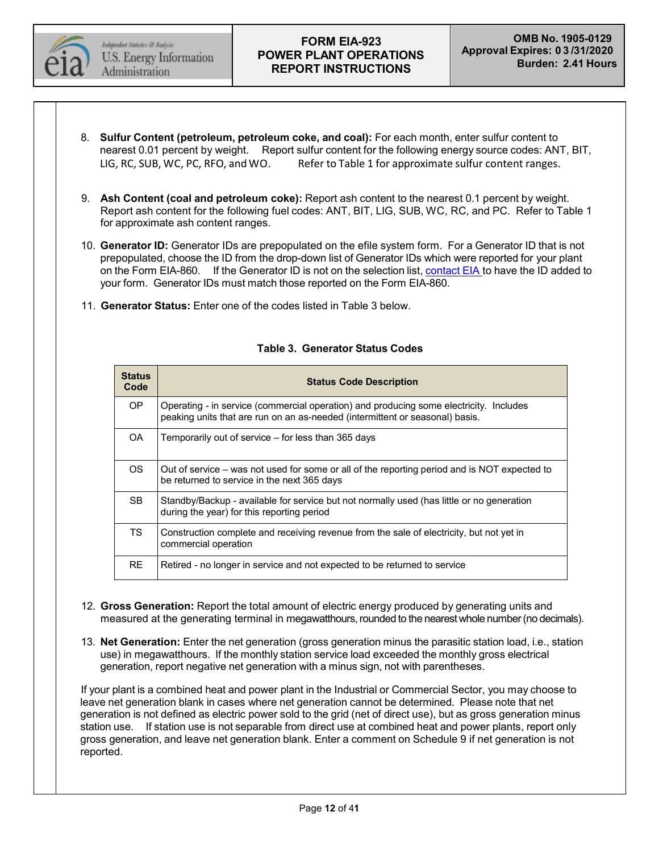

- 8. **Sulfur Content (petroleum, petroleum coke, and coal):** For each month, enter sulfur content to nearest 0.01 percent by weight. Report sulfur content for the following energy source codes: ANT, BIT, LIG, RC, SUB, WC, PC, RFO, and WO. Refer to Table 1 for approximate sulfur content ranges.
- 9. **Ash Content (coal and petroleum coke):** Report ash content to the nearest 0.1 percent by weight. Report ash content for the following fuel codes: ANT, BIT, LIG, SUB, WC, RC, and PC. Refer to Table 1 for approximate ash content ranges.
- 10. **Generator ID:** Generator IDs are prepopulated on the efile system form. For a Generator ID that is not prepopulated, choose the ID from the drop-down list of Generator IDs which were reported for your plant on the Form EIA-860. If the Generator ID is not on the selection list, [contact](mailto:EIA-923@eia.gov) EIA to have the ID added to your form. Generator IDs must match those reported on the Form EIA-860.
- 11. **Generator Status:** Enter one of the codes listed in Table 3 below.

| <b>Status</b><br>Code | <b>Status Code Description</b>                                                                                                                                         |  |
|-----------------------|------------------------------------------------------------------------------------------------------------------------------------------------------------------------|--|
| OP.                   | Operating - in service (commercial operation) and producing some electricity. Includes<br>peaking units that are run on an as-needed (intermittent or seasonal) basis. |  |
| OA.                   | Temporarily out of service – for less than 365 days                                                                                                                    |  |
| <b>OS</b>             | Out of service – was not used for some or all of the reporting period and is NOT expected to<br>be returned to service in the next 365 days                            |  |
| <b>SB</b>             | Standby/Backup - available for service but not normally used (has little or no generation<br>during the year) for this reporting period                                |  |
| <b>TS</b>             | Construction complete and receiving revenue from the sale of electricity, but not yet in<br>commercial operation                                                       |  |
| <b>RE</b>             | Retired - no longer in service and not expected to be returned to service                                                                                              |  |

### **Table 3. Generator Status Codes**

- 12. **Gross Generation:** Report the total amount of electric energy produced by generating units and measured at the generating terminal in megawatthours, rounded to the nearest whole number (no decimals).
- 13. **Net Generation:** Enter the net generation (gross generation minus the parasitic station load, i.e., station use) in megawatthours. If the monthly station service load exceeded the monthly gross electrical generation, report negative net generation with a minus sign, not with parentheses.

If your plant is a combined heat and power plant in the Industrial or Commercial Sector, you may choose to leave net generation blank in cases where net generation cannot be determined. Please note that net generation is not defined as electric power sold to the grid (net of direct use), but as gross generation minus station use. If station use is not separable from direct use at combined heat and power plants, report only gross generation, and leave net generation blank. Enter a comment on Schedule 9 if net generation is not reported.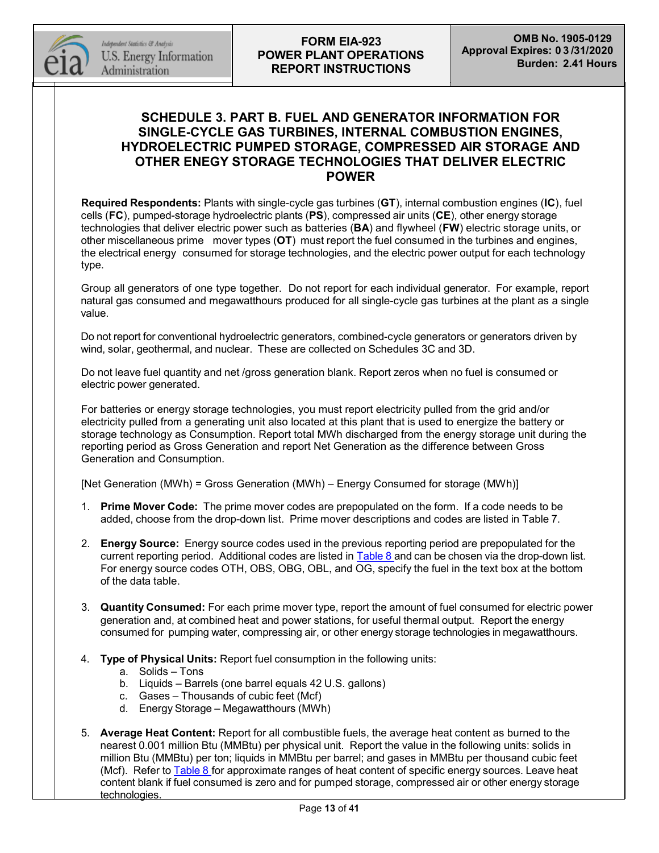

## **SCHEDULE 3. PART B. FUEL AND GENERATOR INFORMATION FOR SINGLE-CYCLE GAS TURBINES, INTERNAL COMBUSTION ENGINES, HYDROELECTRIC PUMPED STORAGE, COMPRESSED AIR STORAGE AND OTHER ENEGY STORAGE TECHNOLOGIES THAT DELIVER ELECTRIC POWER**

**Required Respondents:** Plants with single-cycle gas turbines (**GT**), internal combustion engines (**IC**), fuel cells (**FC**), pumped-storage hydroelectric plants (**PS**), compressed air units (**CE**), other energy storage technologies that deliver electric power such as batteries (**BA**) and flywheel (**FW**) electric storage units, or other miscellaneous prime mover types (**OT**) must report the fuel consumed in the turbines and engines, the electrical energy consumed for storage technologies, and the electric power output for each technology type.

Group all generators of one type together. Do not report for each individual generator. For example, report natural gas consumed and megawatthours produced for all single-cycle gas turbines at the plant as a single value.

Do not report for conventional hydroelectric generators, combined-cycle generators or generators driven by wind, solar, geothermal, and nuclear. These are collected on Schedules 3C and 3D.

Do not leave fuel quantity and net /gross generation blank. Report zeros when no fuel is consumed or electric power generated.

For batteries or energy storage technologies, you must report electricity pulled from the grid and/or electricity pulled from a generating unit also located at this plant that is used to energize the battery or storage technology as Consumption. Report total MWh discharged from the energy storage unit during the reporting period as Gross Generation and report Net Generation as the difference between Gross Generation and Consumption.

[Net Generation (MWh) = Gross Generation (MWh) – Energy Consumed for storage (MWh)]

- 1. **Prime Mover Code:** The prime mover codes are prepopulated on the form. If a code needs to be added, choose from the drop-down list. Prime mover descriptions and codes are listed in Table 7.
- 2. **Energy Source:** Energy source codes used in the previous reporting period are prepopulated for the current reporting period. Additional codes are listed in [Table](#page-31-0) 8 and can be chosen via the drop-down list. For energy source codes OTH, OBS, OBG, OBL, and OG, specify the fuel in the text box at the bottom of the data table.
- 3. **Quantity Consumed:** For each prime mover type, report the amount of fuel consumed for electric power generation and, at combined heat and power stations, for useful thermal output. Report the energy consumed for pumping water, compressing air, or other energy storage technologies in megawatthours.
- 4. **Type of Physical Units:** Report fuel consumption in the following units:
	- a. Solids Tons
	- b. Liquids Barrels (one barrel equals 42 U.S. gallons)
	- c. Gases Thousands of cubic feet (Mcf)
	- d. Energy Storage Megawatthours (MWh)
- 5. **Average Heat Content:** Report for all combustible fuels, the average heat content as burned to the nearest 0.001 million Btu (MMBtu) per physical unit. Report the value in the following units: solids in million Btu (MMBtu) per ton; liquids in MMBtu per barrel; and gases in MMBtu per thousand cubic feet (Mcf). Refer to [Table](#page-31-0) 8 for approximate ranges of heat content of specific energy sources. Leave heat content blank if fuel consumed is zero and for pumped storage, compressed air or other energy storage technologies.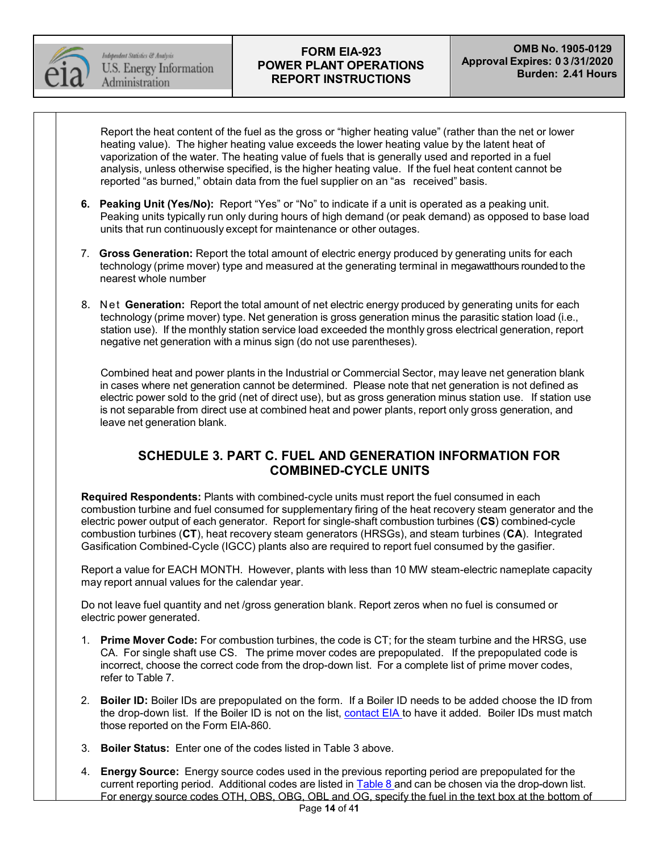

Independent Statistics & Analysis U.S. Energy Information Administration

## **FORM EIA-923 POWER PLANT OPERATIONS REPORT INSTRUCTIONS**

Report the heat content of the fuel as the gross or "higher heating value" (rather than the net or lower heating value). The higher heating value exceeds the lower heating value by the latent heat of vaporization of the water. The heating value of fuels that is generally used and reported in a fuel analysis, unless otherwise specified, is the higher heating value. If the fuel heat content cannot be reported "as burned," obtain data from the fuel supplier on an "as received" basis.

- **6. Peaking Unit (Yes/No):** Report "Yes" or "No" to indicate if a unit is operated as a peaking unit. Peaking units typically run only during hours of high demand (or peak demand) as opposed to base load units that run continuously except for maintenance or other outages.
- 7. **Gross Generation:** Report the total amount of electric energy produced by generating units for each technology (prime mover) type and measured at the generating terminal in megawatthours roundedto the nearest whole number
- 8. Net **Generation:** Report the total amount of net electric energy produced by generating units for each technology (prime mover) type. Net generation is gross generation minus the parasitic station load (i.e., station use). If the monthly station service load exceeded the monthly gross electrical generation, report negative net generation with a minus sign (do not use parentheses).

Combined heat and power plants in the Industrial or Commercial Sector, may leave net generation blank in cases where net generation cannot be determined. Please note that net generation is not defined as electric power sold to the grid (net of direct use), but as gross generation minus station use. If station use is not separable from direct use at combined heat and power plants, report only gross generation, and leave net generation blank.

# **SCHEDULE 3. PART C. FUEL AND GENERATION INFORMATION FOR COMBINED-CYCLE UNITS**

**Required Respondents:** Plants with combined-cycle units must report the fuel consumed in each combustion turbine and fuel consumed for supplementary firing of the heat recovery steam generator and the electric power output of each generator. Report for single-shaft combustion turbines (**CS**) combined-cycle combustion turbines (**CT**), heat recovery steam generators (HRSGs), and steam turbines (**CA**). Integrated Gasification Combined-Cycle (IGCC) plants also are required to report fuel consumed by the gasifier.

Report a value for EACH MONTH. However, plants with less than 10 MW steam-electric nameplate capacity may report annual values for the calendar year.

Do not leave fuel quantity and net /gross generation blank. Report zeros when no fuel is consumed or electric power generated.

- 1. **Prime Mover Code:** For combustion turbines, the code is CT; for the steam turbine and the HRSG, use CA. For single shaft use CS. The prime mover codes are prepopulated. If the prepopulated code is incorrect, choose the correct code from the drop-down list. For a complete list of prime mover codes, refer to Table 7.
- 2. **Boiler ID:** Boiler IDs are prepopulated on the form. If a Boiler ID needs to be added choose the ID from the drop-down list. If the Boiler ID is not on the list, [contact](mailto:EIA-923@eia.gov) EIA to have it added. Boiler IDs must match those reported on the Form EIA-860.
- 3. **Boiler Status:** Enter one of the codes listed in Table 3 above.
- 4. **Energy Source:** Energy source codes used in the previous reporting period are prepopulated for the current reporting period. Additional codes are listed in [Table](#page-31-0) 8 and can be chosen via the drop-down list. For energy source codes OTH, OBS, OBG, OBL and OG, specify the fuel in the text box at the bottom of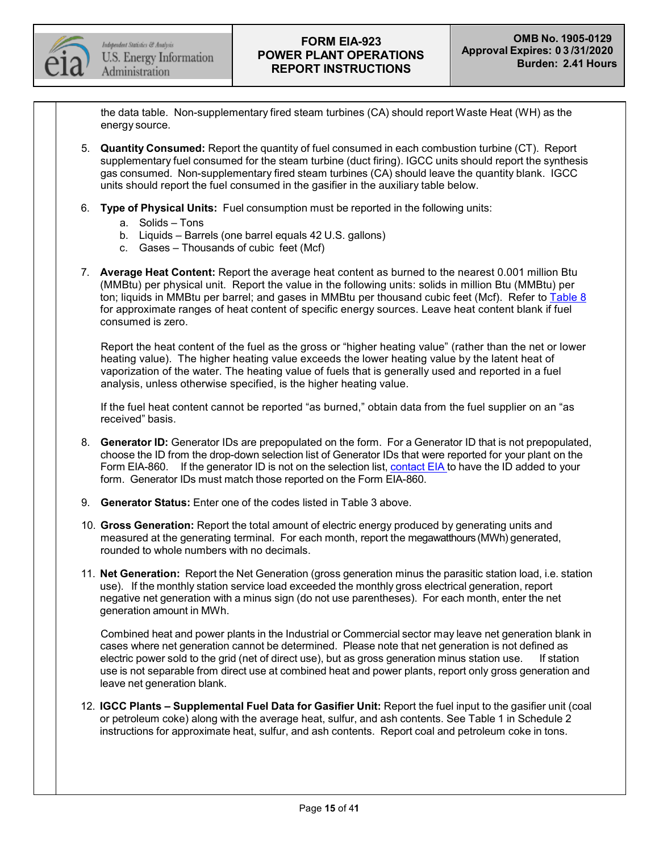

the data table. Non-supplementary fired steam turbines (CA) should report Waste Heat (WH) as the energy source.

- 5. **Quantity Consumed:** Report the quantity of fuel consumed in each combustion turbine (CT). Report supplementary fuel consumed for the steam turbine (duct firing). IGCC units should report the synthesis gas consumed. Non-supplementary fired steam turbines (CA) should leave the quantity blank. IGCC units should report the fuel consumed in the gasifier in the auxiliary table below.
- 6. **Type of Physical Units:** Fuel consumption must be reported in the following units:
	- a. Solids Tons
	- b. Liquids Barrels (one barrel equals 42 U.S. gallons)
	- c. Gases Thousands of cubic feet (Mcf)
- 7. **Average Heat Content:** Report the average heat content as burned to the nearest 0.001 million Btu (MMBtu) per physical unit. Report the value in the following units: solids in million Btu (MMBtu) per ton; liquids in MMBtu per barrel; and gases in MMBtu per thousand cubic feet (Mcf). Refer to [Table](#page-31-0) 8 for approximate ranges of heat content of specific energy sources. Leave heat content blank if fuel consumed is zero.

Report the heat content of the fuel as the gross or "higher heating value" (rather than the net or lower heating value). The higher heating value exceeds the lower heating value by the latent heat of vaporization of the water. The heating value of fuels that is generally used and reported in a fuel analysis, unless otherwise specified, is the higher heating value.

If the fuel heat content cannot be reported "as burned," obtain data from the fuel supplier on an "as received" basis.

- 8. **Generator ID:** Generator IDs are prepopulated on the form. For a Generator ID that is not prepopulated, choose the ID from the drop-down selection list of Generator IDs that were reported for your plant on the Form EIA-860. If the generator ID is not on the selection list, [contact](mailto:EIA-923@eia.gov) EIA to have the ID added to your form. Generator IDs must match those reported on the Form EIA-860.
- 9. **Generator Status:** Enter one of the codes listed in Table 3 above.
- 10. **Gross Generation:** Report the total amount of electric energy produced by generating units and measured at the generating terminal. For each month, report the megawatthours (MWh) generated, rounded to whole numbers with no decimals.
- 11. **Net Generation:** Report the Net Generation (gross generation minus the parasitic station load, i.e. station use). If the monthly station service load exceeded the monthly gross electrical generation, report negative net generation with a minus sign (do not use parentheses). For each month, enter the net generation amount in MWh.

Combined heat and power plants in the Industrial or Commercial sector may leave net generation blank in cases where net generation cannot be determined. Please note that net generation is not defined as electric power sold to the grid (net of direct use), but as gross generation minus station use. If station use is not separable from direct use at combined heat and power plants, report only gross generation and leave net generation blank.

12. **IGCC Plants – Supplemental Fuel Data for Gasifier Unit:** Report the fuel input to the gasifier unit (coal or petroleum coke) along with the average heat, sulfur, and ash contents. See Table 1 in Schedule 2 instructions for approximate heat, sulfur, and ash contents. Report coal and petroleum coke in tons.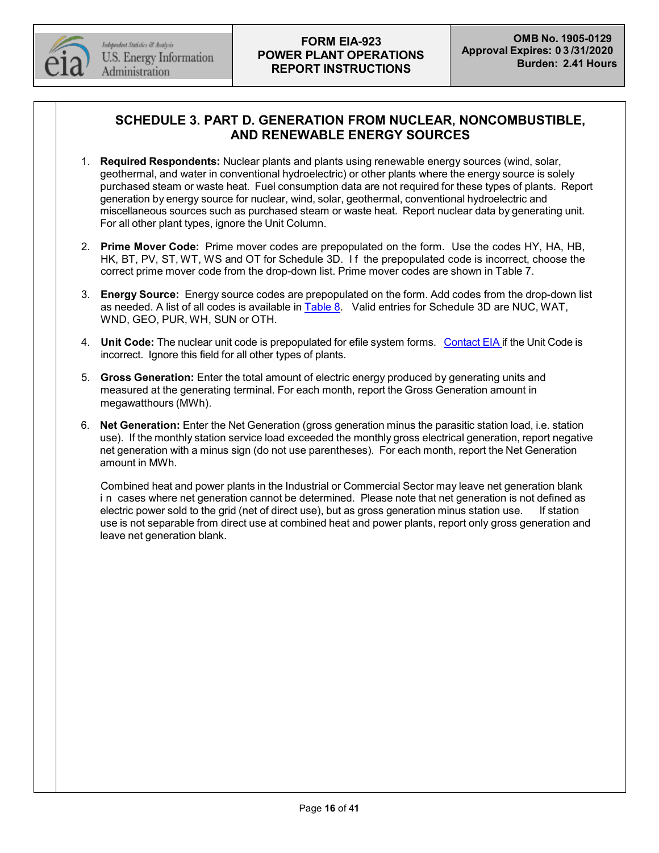

# **SCHEDULE 3. PART D. GENERATION FROM NUCLEAR, NONCOMBUSTIBLE, AND RENEWABLE ENERGY SOURCES**

- 1. **Required Respondents:** Nuclear plants and plants using renewable energy sources (wind, solar, geothermal, and water in conventional hydroelectric) or other plants where the energy source is solely purchased steam or waste heat. Fuel consumption data are not required for these types of plants. Report generation by energy source for nuclear, wind, solar, geothermal, conventional hydroelectric and miscellaneous sources such as purchased steam or waste heat. Report nuclear data by generating unit. For all other plant types, ignore the Unit Column.
- 2. **Prime Mover Code:** Prime mover codes are prepopulated on the form. Use the codes HY, HA, HB, HK, BT, PV, ST, WT, WS and OT for Schedule 3D. I f the prepopulated code is incorrect, choose the correct prime mover code from the drop-down list. Prime mover codes are shown in Table 7.
- 3. **Energy Source:** Energy source codes are prepopulated on the form. Add codes from the drop-down list as needed. A list of all codes is available in [Table](#page-31-0) 8. Valid entries for Schedule 3D are NUC, WAT, WND, GEO, PUR, WH, SUN or OTH.
- 4. **Unit Code:** The nuclear unit code is prepopulated for efile system forms. [Contact](mailto:EIA-923@eia.gov) EIA if the Unit Code is incorrect. Ignore this field for all other types of plants.
- 5. **Gross Generation:** Enter the total amount of electric energy produced by generating units and measured at the generating terminal. For each month, report the Gross Generation amount in megawatthours (MWh).
- 6. **Net Generation:** Enter the Net Generation (gross generation minus the parasitic station load, i.e. station use). If the monthly station service load exceeded the monthly gross electrical generation, report negative net generation with a minus sign (do not use parentheses). For each month, report the Net Generation amount in MWh.

Combined heat and power plants in the Industrial or Commercial Sector may leave net generation blank i n cases where net generation cannot be determined. Please note that net generation is not defined as electric power sold to the grid (net of direct use), but as gross generation minus station use. If station use is not separable from direct use at combined heat and power plants, report only gross generation and leave net generation blank.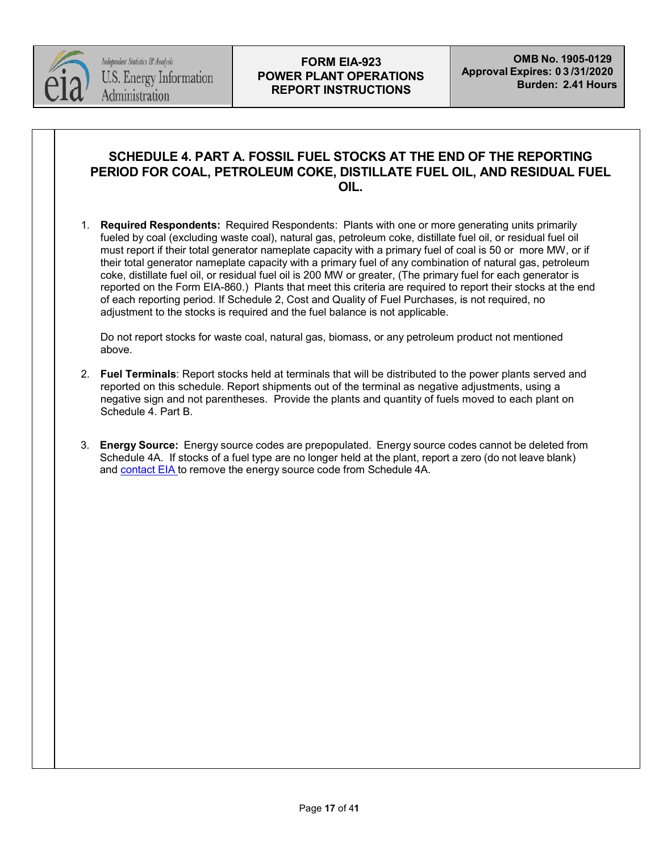

## **SCHEDULE 4. PART A. FOSSIL FUEL STOCKS AT THE END OF THE REPORTING PERIOD FOR COAL, PETROLEUM COKE, DISTILLATE FUEL OIL, AND RESIDUAL FUEL OIL.**

1. **Required Respondents:** Required Respondents: Plants with one or more generating units primarily fueled by coal (excluding waste coal), natural gas, petroleum coke, distillate fuel oil, or residual fuel oil must report if their total generator nameplate capacity with a primary fuel of coal is 50 or more MW, or if their total generator nameplate capacity with a primary fuel of any combination of natural gas, petroleum coke, distillate fuel oil, or residual fuel oil is 200 MW or greater, (The primary fuel for each generator is reported on the Form EIA-860.) Plants that meet this criteria are required to report their stocks at the end of each reporting period. If Schedule 2, Cost and Quality of Fuel Purchases, is not required, no adjustment to the stocks is required and the fuel balance is not applicable.

Do not report stocks for waste coal, natural gas, biomass, or any petroleum product not mentioned above.

- 2. **Fuel Terminals**: Report stocks held at terminals that will be distributed to the power plants served and reported on this schedule. Report shipments out of the terminal as negative adjustments, using a negative sign and not parentheses. Provide the plants and quantity of fuels moved to each plant on Schedule 4. Part B.
- 3. **Energy Source:** Energy source codes are prepopulated. Energy source codes cannot be deleted from Schedule 4A. If stocks of a fuel type are no longer held at the plant, report a zero (do not leave blank) and [contact](mailto:EIA-923@eia.gov) EIA to remove the energy source code from Schedule 4A.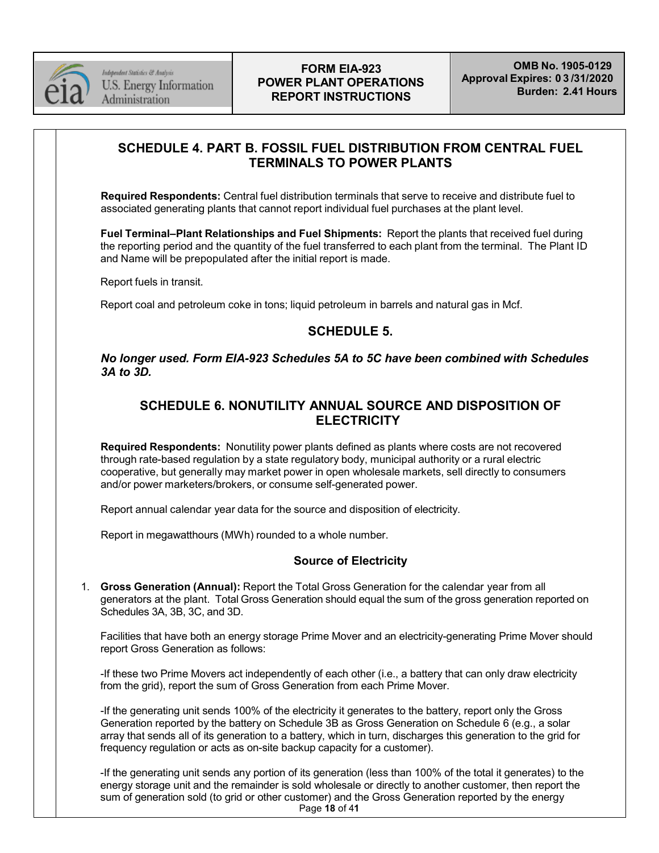

# **SCHEDULE 4. PART B. FOSSIL FUEL DISTRIBUTION FROM CENTRAL FUEL TERMINALS TO POWER PLANTS**

**Required Respondents:** Central fuel distribution terminals that serve to receive and distribute fuel to associated generating plants that cannot report individual fuel purchases at the plant level.

**Fuel Terminal–Plant Relationships and Fuel Shipments:** Report the plants that received fuel during the reporting period and the quantity of the fuel transferred to each plant from the terminal. The Plant ID and Name will be prepopulated after the initial report is made.

Report fuels in transit.

Report coal and petroleum coke in tons; liquid petroleum in barrels and natural gas in Mcf.

# **SCHEDULE 5.**

*No longer used. Form EIA-923 Schedules 5A to 5C have been combined with Schedules 3A to 3D.*

# **SCHEDULE 6. NONUTILITY ANNUAL SOURCE AND DISPOSITION OF ELECTRICITY**

**Required Respondents:** Nonutility power plants defined as plants where costs are not recovered through rate-based regulation by a state regulatory body, municipal authority or a rural electric cooperative, but generally may market power in open wholesale markets, sell directly to consumers and/or power marketers/brokers, or consume self-generated power.

Report annual calendar year data for the source and disposition of electricity.

Report in megawatthours (MWh) rounded to a whole number.

### **Source of Electricity**

1. **Gross Generation (Annual):** Report the Total Gross Generation for the calendar year from all generators at the plant. Total Gross Generation should equal the sum of the gross generation reported on Schedules 3A, 3B, 3C, and 3D.

Facilities that have both an energy storage Prime Mover and an electricity-generating Prime Mover should report Gross Generation as follows:

-If these two Prime Movers act independently of each other (i.e., a battery that can only draw electricity from the grid), report the sum of Gross Generation from each Prime Mover.

-If the generating unit sends 100% of the electricity it generates to the battery, report only the Gross Generation reported by the battery on Schedule 3B as Gross Generation on Schedule 6 (e.g., a solar array that sends all of its generation to a battery, which in turn, discharges this generation to the grid for frequency regulation or acts as on-site backup capacity for a customer).

Page **18** of 4**1** -If the generating unit sends any portion of its generation (less than 100% of the total it generates) to the energy storage unit and the remainder is sold wholesale or directly to another customer, then report the sum of generation sold (to grid or other customer) and the Gross Generation reported by the energy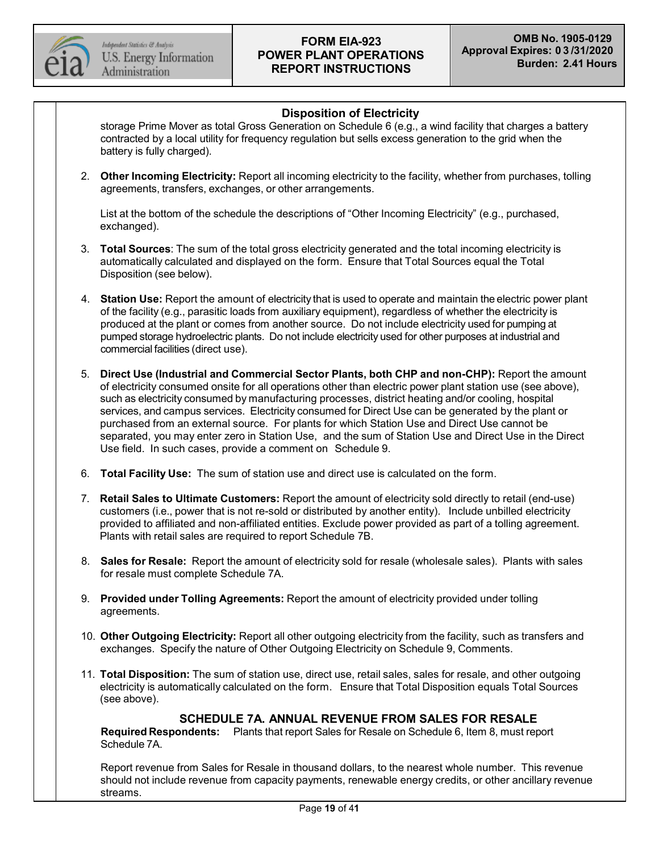

## **Disposition of Electricity**

storage Prime Mover as total Gross Generation on Schedule 6 (e.g., a wind facility that charges a battery contracted by a local utility for frequency regulation but sells excess generation to the grid when the battery is fully charged).

2. **Other Incoming Electricity:** Report all incoming electricity to the facility, whether from purchases, tolling agreements, transfers, exchanges, or other arrangements.

List at the bottom of the schedule the descriptions of "Other Incoming Electricity" (e.g., purchased, exchanged).

- 3. **Total Sources**: The sum of the total gross electricity generated and the total incoming electricity is automatically calculated and displayed on the form. Ensure that Total Sources equal the Total Disposition (see below).
- 4. **Station Use:** Report the amount of electricity that is used to operate and maintain the electric power plant of the facility (e.g., parasitic loads from auxiliary equipment), regardless of whether the electricity is produced at the plant or comes from another source. Do not include electricity used for pumping at pumped storage hydroelectric plants. Do not include electricity used for other purposes at industrial and commercial facilities (direct use).
- 5. **Direct Use (Industrial and Commercial Sector Plants, both CHP and non-CHP):** Report the amount of electricity consumed onsite for all operations other than electric power plant station use (see above), such as electricity consumed by manufacturing processes, district heating and/or cooling, hospital services, and campus services. Electricity consumed for Direct Use can be generated by the plant or purchased from an external source. For plants for which Station Use and Direct Use cannot be separated, you may enter zero in Station Use, and the sum of Station Use and Direct Use in the Direct Use field. In such cases, provide a comment on Schedule 9.
- 6. **Total Facility Use:** The sum of station use and direct use is calculated on the form.
- 7. **Retail Sales to Ultimate Customers:** Report the amount of electricity sold directly to retail (end-use) customers (i.e., power that is not re-sold or distributed by another entity). Include unbilled electricity provided to affiliated and non-affiliated entities. Exclude power provided as part of a tolling agreement. Plants with retail sales are required to report Schedule 7B.
- 8. **Sales for Resale:** Report the amount of electricity sold for resale (wholesale sales). Plants with sales for resale must complete Schedule 7A.
- 9. **Provided under Tolling Agreements:** Report the amount of electricity provided under tolling agreements.
- 10. **Other Outgoing Electricity:** Report all other outgoing electricity from the facility, such as transfers and exchanges. Specify the nature of Other Outgoing Electricity on Schedule 9, Comments.
- 11. **Total Disposition:** The sum of station use, direct use, retail sales, sales for resale, and other outgoing electricity is automatically calculated on the form. Ensure that Total Disposition equals Total Sources (see above).

### **SCHEDULE 7A. ANNUAL REVENUE FROM SALES FOR RESALE**

**Required Respondents:** Plants that report Sales for Resale on Schedule 6, Item 8, must report Schedule 7A.

Report revenue from Sales for Resale in thousand dollars, to the nearest whole number. This revenue should not include revenue from capacity payments, renewable energy credits, or other ancillary revenue streams.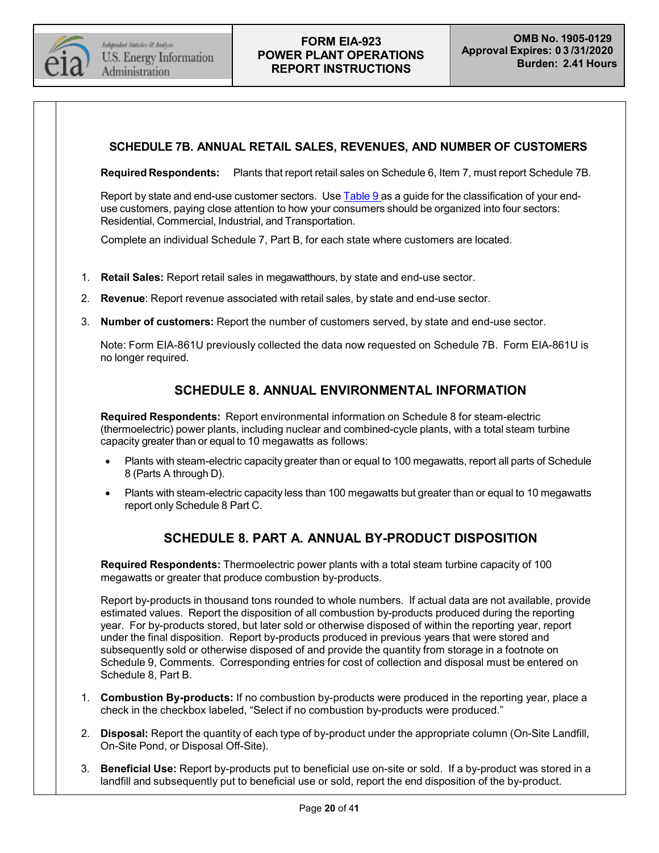

### **SCHEDULE 7B. ANNUAL RETAIL SALES, REVENUES, AND NUMBER OF CUSTOMERS**

**Required Respondents:** Plants that report retail sales on Schedule 6, Item 7, must report Schedule 7B.

Report by state and end-use customer sectors. Use [Table](#page-33-0) 9 as a guide for the classification of your enduse customers, paying close attention to how your consumers should be organized into four sectors: Residential, Commercial, Industrial, and Transportation.

Complete an individual Schedule 7, Part B, for each state where customers are located.

- 1. **Retail Sales:** Report retail sales in megawatthours, by state and end-use sector.
- 2. **Revenue**: Report revenue associated with retail sales, by state and end-use sector.
- 3. **Number of customers:** Report the number of customers served, by state and end-use sector.

Note: Form EIA-861U previously collected the data now requested on Schedule 7B. Form EIA-861U is no longer required.

## **SCHEDULE 8. ANNUAL ENVIRONMENTAL INFORMATION**

**Required Respondents:** Report environmental information on Schedule 8 for steam-electric (thermoelectric) power plants, including nuclear and combined-cycle plants, with a total steam turbine capacity greater than or equal to 10 megawatts as follows:

- Plants with steam-electric capacity greater than or equal to 100 megawatts, report all parts of Schedule 8 (Parts A through D).
- Plants with steam-electric capacity less than 100 megawatts but greater than or equal to 10 megawatts report only Schedule 8 Part C.

## **SCHEDULE 8. PART A. ANNUAL BY-PRODUCT DISPOSITION**

**Required Respondents:** Thermoelectric power plants with a total steam turbine capacity of 100 megawatts or greater that produce combustion by-products.

Report by-products in thousand tons rounded to whole numbers. If actual data are not available, provide estimated values. Report the disposition of all combustion by-products produced during the reporting year. For by-products stored, but later sold or otherwise disposed of within the reporting year, report under the final disposition. Report by-products produced in previous years that were stored and subsequently sold or otherwise disposed of and provide the quantity from storage in a footnote on Schedule 9, Comments. Corresponding entries for cost of collection and disposal must be entered on Schedule 8, Part B.

- 1. **Combustion By-products:** If no combustion by-products were produced in the reporting year, place a check in the checkbox labeled, "Select if no combustion by-products were produced."
- 2. **Disposal:** Report the quantity of each type of by-product under the appropriate column (On-Site Landfill, On-Site Pond, or Disposal Off-Site).
- 3. **Beneficial Use:** Report by-products put to beneficial use on-site or sold. If a by-product was stored in a landfill and subsequently put to beneficial use or sold, report the end disposition of the by-product.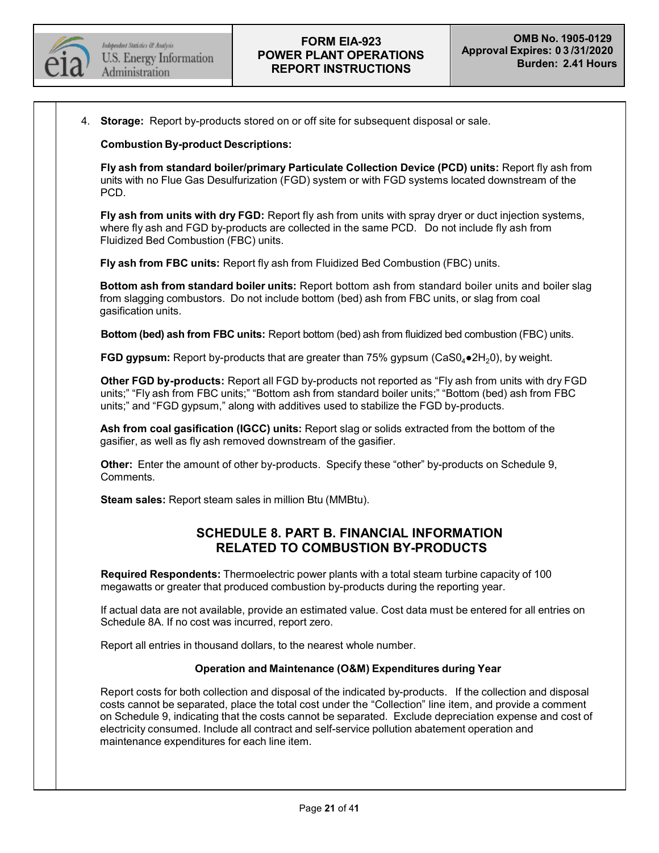

4. **Storage:** Report by-products stored on or off site for subsequent disposal or sale.

**Combustion By-product Descriptions:**

**Fly ash from standard boiler/primary Particulate Collection Device (PCD) units:** Report fly ash from units with no Flue Gas Desulfurization (FGD) system or with FGD systems located downstream of the PCD.

**Fly ash from units with dry FGD:** Report fly ash from units with spray dryer or duct injection systems, where fly ash and FGD by-products are collected in the same PCD. Do not include fly ash from Fluidized Bed Combustion (FBC) units.

**Fly ash from FBC units:** Report fly ash from Fluidized Bed Combustion (FBC) units.

**Bottom ash from standard boiler units:** Report bottom ash from standard boiler units and boiler slag from slagging combustors. Do not include bottom (bed) ash from FBC units, or slag from coal gasification units.

**Bottom (bed) ash from FBC units:** Report bottom (bed) ash from fluidized bed combustion (FBC) units.

**FGD gypsum:** Report by-products that are greater than  $75\%$  gypsum ( $CaSO_4 \bullet 2H_2O$ ), by weight.

**Other FGD by-products:** Report all FGD by-products not reported as "Fly ash from units with dry FGD units;" "Fly ash from FBC units;" "Bottom ash from standard boiler units;" "Bottom (bed) ash from FBC units;" and "FGD gypsum," along with additives used to stabilize the FGD by-products.

**Ash from coal gasification (IGCC) units:** Report slag or solids extracted from the bottom of the gasifier, as well as fly ash removed downstream of the gasifier.

**Other:** Enter the amount of other by-products. Specify these "other" by-products on Schedule 9, Comments.

**Steam sales:** Report steam sales in million Btu (MMBtu).

## **SCHEDULE 8. PART B. FINANCIAL INFORMATION RELATED TO COMBUSTION BY-PRODUCTS**

**Required Respondents:** Thermoelectric power plants with a total steam turbine capacity of 100 megawatts or greater that produced combustion by-products during the reporting year.

If actual data are not available, provide an estimated value. Cost data must be entered for all entries on Schedule 8A. If no cost was incurred, report zero.

Report all entries in thousand dollars, to the nearest whole number.

#### **Operation and Maintenance (O&M) Expenditures during Year**

Report costs for both collection and disposal of the indicated by-products. If the collection and disposal costs cannot be separated, place the total cost under the "Collection" line item, and provide a comment on Schedule 9, indicating that the costs cannot be separated. Exclude depreciation expense and cost of electricity consumed. Include all contract and self-service pollution abatement operation and maintenance expenditures for each line item.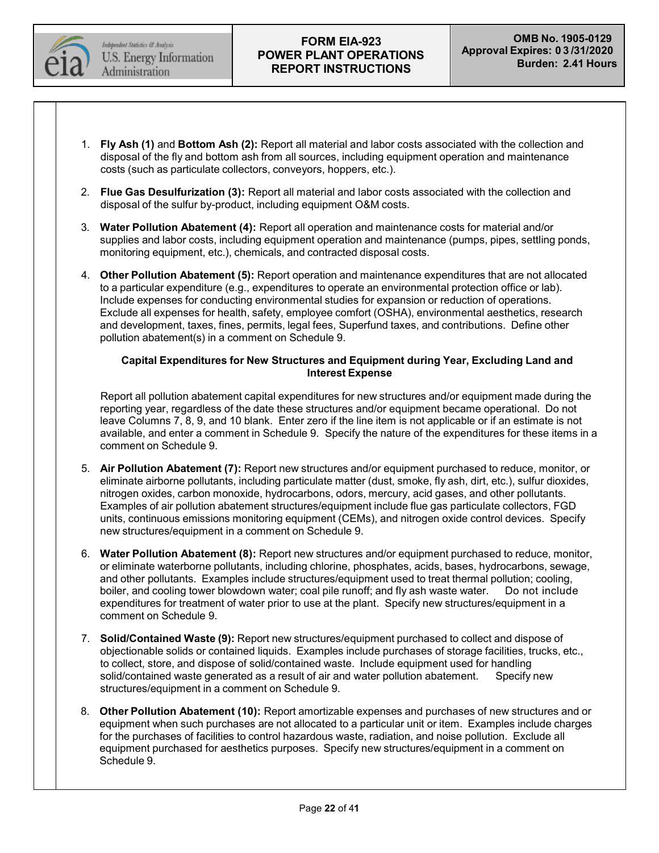

- 1. **Fly Ash (1)** and **Bottom Ash (2):** Report all material and labor costs associated with the collection and disposal of the fly and bottom ash from all sources, including equipment operation and maintenance costs (such as particulate collectors, conveyors, hoppers, etc.).
- 2. **Flue Gas Desulfurization (3):** Report all material and labor costs associated with the collection and disposal of the sulfur by-product, including equipment O&M costs.
- 3. **Water Pollution Abatement (4):** Report all operation and maintenance costs for material and/or supplies and labor costs, including equipment operation and maintenance (pumps, pipes, settling ponds, monitoring equipment, etc.), chemicals, and contracted disposal costs.
- 4. **Other Pollution Abatement (5):** Report operation and maintenance expenditures that are not allocated to a particular expenditure (e.g., expenditures to operate an environmental protection office or lab). Include expenses for conducting environmental studies for expansion or reduction of operations. Exclude all expenses for health, safety, employee comfort (OSHA), environmental aesthetics, research and development, taxes, fines, permits, legal fees, Superfund taxes, and contributions. Define other pollution abatement(s) in a comment on Schedule 9.

#### **Capital Expenditures for New Structures and Equipment during Year, Excluding Land and Interest Expense**

Report all pollution abatement capital expenditures for new structures and/or equipment made during the reporting year, regardless of the date these structures and/or equipment became operational. Do not leave Columns 7, 8, 9, and 10 blank. Enter zero if the line item is not applicable or if an estimate is not available, and enter a comment in Schedule 9. Specify the nature of the expenditures for these items in a comment on Schedule 9.

- 5. **Air Pollution Abatement (7):** Report new structures and/or equipment purchased to reduce, monitor, or eliminate airborne pollutants, including particulate matter (dust, smoke, fly ash, dirt, etc.), sulfur dioxides, nitrogen oxides, carbon monoxide, hydrocarbons, odors, mercury, acid gases, and other pollutants. Examples of air pollution abatement structures/equipment include flue gas particulate collectors, FGD units, continuous emissions monitoring equipment (CEMs), and nitrogen oxide control devices. Specify new structures/equipment in a comment on Schedule 9.
- 6. **Water Pollution Abatement (8):** Report new structures and/or equipment purchased to reduce, monitor, or eliminate waterborne pollutants, including chlorine, phosphates, acids, bases, hydrocarbons, sewage, and other pollutants. Examples include structures/equipment used to treat thermal pollution; cooling, boiler, and cooling tower blowdown water; coal pile runoff; and fly ash waste water. Do not include expenditures for treatment of water prior to use at the plant. Specify new structures/equipment in a comment on Schedule 9.
- 7. **Solid/Contained Waste (9):** Report new structures/equipment purchased to collect and dispose of objectionable solids or contained liquids. Examples include purchases of storage facilities, trucks, etc., to collect, store, and dispose of solid/contained waste. Include equipment used for handling<br>solid/contained waste generated as a result of air and water pollution abatement. Specify new solid/contained waste generated as a result of air and water pollution abatement. structures/equipment in a comment on Schedule 9.
- 8. **Other Pollution Abatement (10):** Report amortizable expenses and purchases of new structures and or equipment when such purchases are not allocated to a particular unit or item. Examples include charges for the purchases of facilities to control hazardous waste, radiation, and noise pollution. Exclude all equipment purchased for aesthetics purposes. Specify new structures/equipment in a comment on Schedule 9.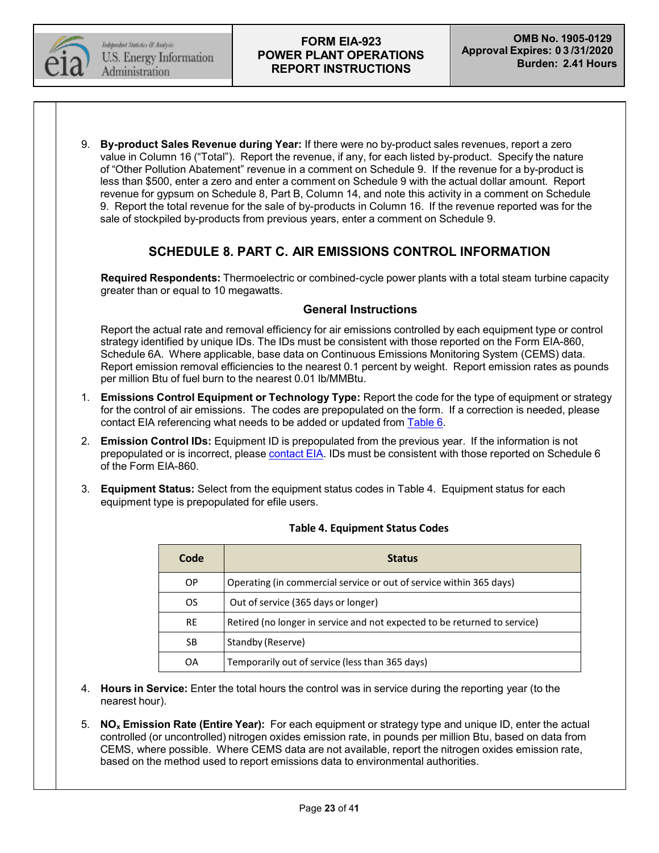

9. **By-product Sales Revenue during Year:** If there were no by-product sales revenues, report a zero value in Column 16 ("Total"). Report the revenue, if any, for each listed by-product. Specify the nature of "Other Pollution Abatement" revenue in a comment on Schedule 9. If the revenue for a by-product is less than \$500, enter a zero and enter a comment on Schedule 9 with the actual dollar amount. Report revenue for gypsum on Schedule 8, Part B, Column 14, and note this activity in a comment on Schedule 9. Report the total revenue for the sale of by-products in Column 16. If the revenue reported was for the sale of stockpiled by-products from previous years, enter a comment on Schedule 9.

## **SCHEDULE 8. PART C. AIR EMISSIONS CONTROL INFORMATION**

**Required Respondents:** Thermoelectric or combined-cycle power plants with a total steam turbine capacity greater than or equal to 10 megawatts.

## **General Instructions**

Report the actual rate and removal efficiency for air emissions controlled by each equipment type or control strategy identified by unique IDs. The IDs must be consistent with those reported on the Form EIA-860, Schedule 6A. Where applicable, base data on Continuous Emissions Monitoring System (CEMS) data. Report emission removal efficiencies to the nearest 0.1 percent by weight. Report emission rates as pounds per million Btu of fuel burn to the nearest 0.01 lb/MMBtu.

- 1. **Emissions Control Equipment or Technology Type:** Report the code for the type of equipment or strategy for the control of air emissions. The codes are prepopulated on the form. If a correction is needed, please contact EIA referencing what needs to be added or updated from [Table](#page-29-0) 6.
- 2. **Emission Control IDs:** Equipment ID is prepopulated from the previous year. If the information is not prepopulated or is incorrect, please [contact](mailto:EIA-923@eia.gov) EIA. IDs must be consistent with those reported on Schedule 6 of the Form EIA-860.
- 3. **Equipment Status:** Select from the equipment status codes in Table 4. Equipment status for each equipment type is prepopulated for efile users.

| Code      | <b>Status</b>                                                             |  |
|-----------|---------------------------------------------------------------------------|--|
| OP.       | Operating (in commercial service or out of service within 365 days)       |  |
| <b>OS</b> | Out of service (365 days or longer)                                       |  |
| <b>RE</b> | Retired (no longer in service and not expected to be returned to service) |  |
| SB        | Standby (Reserve)                                                         |  |
| OA        | Temporarily out of service (less than 365 days)                           |  |

### **Table 4. Equipment Status Codes**

- 4. **Hours in Service:** Enter the total hours the control was in service during the reporting year (to the nearest hour).
- 5. **NOx Emission Rate (Entire Year):** For each equipment or strategy type and unique ID, enter the actual controlled (or uncontrolled) nitrogen oxides emission rate, in pounds per million Btu, based on data from CEMS, where possible. Where CEMS data are not available, report the nitrogen oxides emission rate, based on the method used to report emissions data to environmental authorities.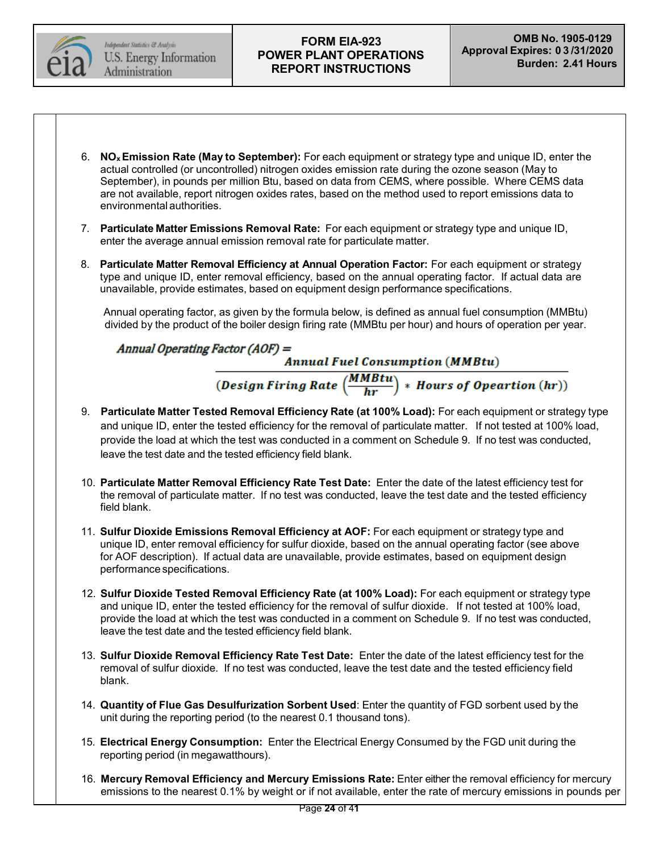

- 6. **NOxEmission Rate (May to September):** For each equipment or strategy type and unique ID, enter the actual controlled (or uncontrolled) nitrogen oxides emission rate during the ozone season (May to September), in pounds per million Btu, based on data from CEMS, where possible. Where CEMS data are not available, report nitrogen oxides rates, based on the method used to report emissions data to environmental authorities.
- 7. **Particulate Matter Emissions Removal Rate:** For each equipment or strategy type and unique ID, enter the average annual emission removal rate for particulate matter.
- 8. **Particulate Matter Removal Efficiency at Annual Operation Factor:** For each equipment or strategy type and unique ID, enter removal efficiency, based on the annual operating factor. If actual data are unavailable, provide estimates, based on equipment design performance specifications.

Annual operating factor, as given by the formula below, is defined as annual fuel consumption (MMBtu) divided by the product of the boiler design firing rate (MMBtu per hour) and hours of operation per year.

Annual Operating Factor (AOF) =

**Annual Fuel Consumption (MMBtu)** 

 $\boxed{ (Design Firing\ Rate\ \left(\frac{MMBtu}{hr}\right)\ * \ Hours\ of\ Operation\ (hr)) }$ 

- 9. **Particulate Matter Tested Removal Efficiency Rate (at 100% Load):** For each equipment or strategy type and unique ID, enter the tested efficiency for the removal of particulate matter. If not tested at 100% load, provide the load at which the test was conducted in a comment on Schedule 9. If no test was conducted, leave the test date and the tested efficiency field blank.
- 10. **Particulate Matter Removal Efficiency Rate Test Date:** Enter the date of the latest efficiency test for the removal of particulate matter. If no test was conducted, leave the test date and the tested efficiency field blank.
- 11. **Sulfur Dioxide Emissions Removal Efficiency at AOF:** For each equipment or strategy type and unique ID, enter removal efficiency for sulfur dioxide, based on the annual operating factor (see above for AOF description). If actual data are unavailable, provide estimates, based on equipment design performance specifications.
- 12. **Sulfur Dioxide Tested Removal Efficiency Rate (at 100% Load):** For each equipment or strategy type and unique ID, enter the tested efficiency for the removal of sulfur dioxide. If not tested at 100% load, provide the load at which the test was conducted in a comment on Schedule 9. If no test was conducted, leave the test date and the tested efficiency field blank.
- 13. **Sulfur Dioxide Removal Efficiency Rate Test Date:** Enter the date of the latest efficiency test for the removal of sulfur dioxide. If no test was conducted, leave the test date and the tested efficiency field blank.
- 14. **Quantity of Flue Gas Desulfurization Sorbent Used**: Enter the quantity of FGD sorbent used by the unit during the reporting period (to the nearest 0.1 thousand tons).
- 15. **Electrical Energy Consumption:** Enter the Electrical Energy Consumed by the FGD unit during the reporting period (in megawatthours).
- 16. **Mercury Removal Efficiency and Mercury Emissions Rate:** Enter either the removal efficiency for mercury emissions to the nearest 0.1% by weight or if not available, enter the rate of mercury emissions in pounds per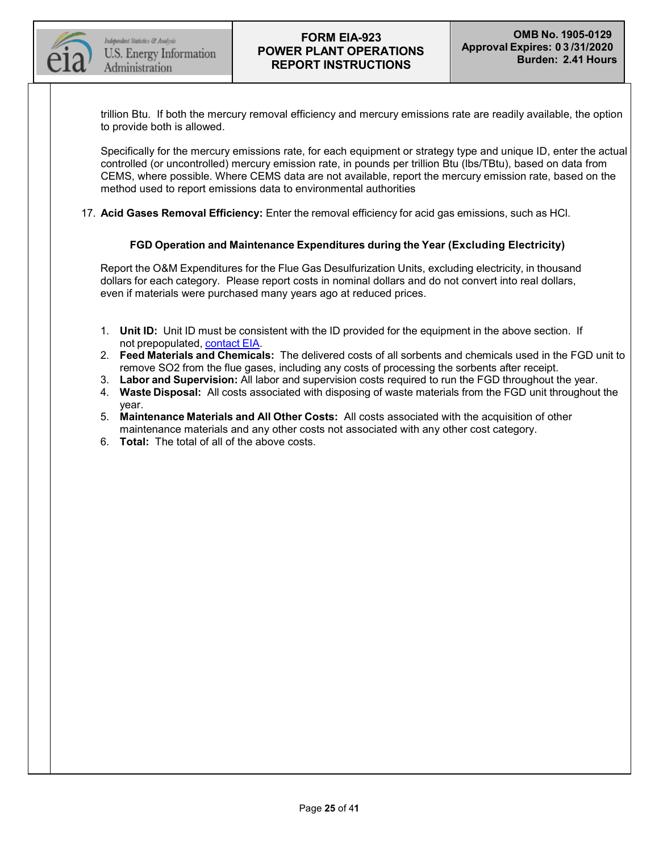

trillion Btu. If both the mercury removal efficiency and mercury emissions rate are readily available, the option to provide both is allowed.

Specifically for the mercury emissions rate, for each equipment or strategy type and unique ID, enter the actual controlled (or uncontrolled) mercury emission rate, in pounds per trillion Btu (lbs/TBtu), based on data from CEMS, where possible. Where CEMS data are not available, report the mercury emission rate, based on the method used to report emissions data to environmental authorities

17. **Acid Gases Removal Efficiency:** Enter the removal efficiency for acid gas emissions, such as HCl.

#### **FGD Operation and Maintenance Expenditures during the Year (Excluding Electricity)**

Report the O&M Expenditures for the Flue Gas Desulfurization Units, excluding electricity, in thousand dollars for each category. Please report costs in nominal dollars and do not convert into real dollars, even if materials were purchased many years ago at reduced prices.

- 1. **Unit ID:** Unit ID must be consistent with the ID provided for the equipment in the above section. If not prepopulated, [contact](mailto:EIA-923@eia.gov) EIA.
- 2. **Feed Materials and Chemicals:** The delivered costs of all sorbents and chemicals used in the FGD unit to remove SO2 from the flue gases, including any costs of processing the sorbents after receipt.
- 3. **Labor and Supervision:** All labor and supervision costs required to run the FGD throughout the year.
- 4. **Waste Disposal:** All costs associated with disposing of waste materials from the FGD unit throughout the year.
- 5. **Maintenance Materials and All Other Costs:** All costs associated with the acquisition of other maintenance materials and any other costs not associated with any other cost category.
- 6. **Total:** The total of all of the above costs.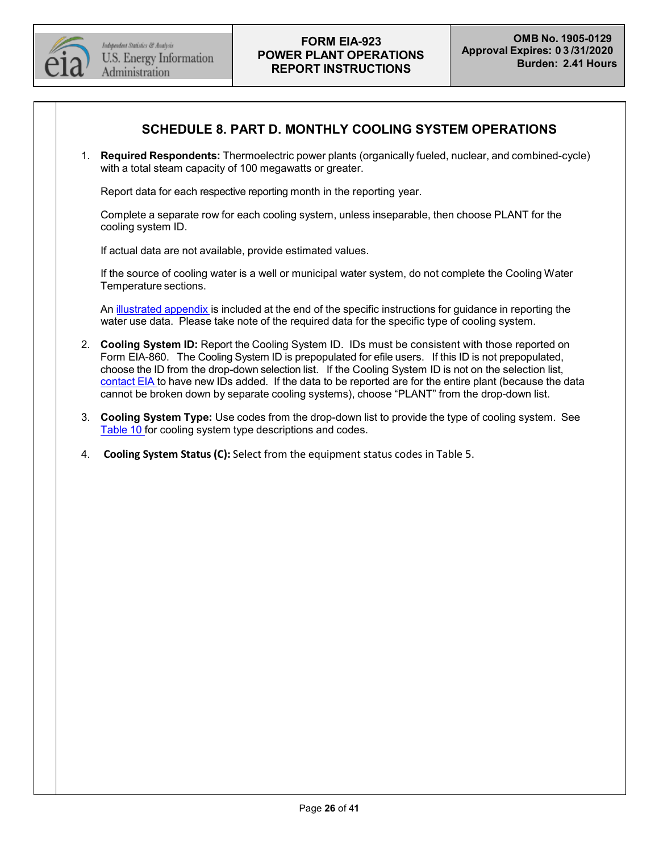

## **SCHEDULE 8. PART D. MONTHLY COOLING SYSTEM OPERATIONS**

1. **Required Respondents:** Thermoelectric power plants (organically fueled, nuclear, and combined-cycle) with a total steam capacity of 100 megawatts or greater.

Report data for each respective reporting month in the reporting year.

Complete a separate row for each cooling system, unless inseparable, then choose PLANT for the cooling system ID.

If actual data are not available, provide estimated values.

If the source of cooling water is a well or municipal water system, do not complete the Cooling Water Temperature sections.

An [illustrated](#page-35-0) appendix is included at the end of the specific instructions for guidance in reporting the water use data. Please take note of the required data for the specific type of cooling system.

- 2. **Cooling System ID:** Report the Cooling System ID. IDs must be consistent with those reported on Form EIA-860. The Cooling System ID is prepopulated for efile users. If this ID is not prepopulated, choose the ID from the drop-down selection list. If the Cooling System ID is not on the selection list, [contact](mailto:EIA-923@eia.gov) EIA to have new IDs added. If the data to be reported are for the entire plant (because the data cannot be broken down by separate cooling systems), choose "PLANT" from the drop-down list.
- 3. **Cooling System Type:** Use codes from the drop-down list to provide the type of cooling system. See [Table](#page-34-0) 10 for cooling system type descriptions and codes.
- 4. **Cooling System Status (C):** Select from the equipment status codes in Table 5.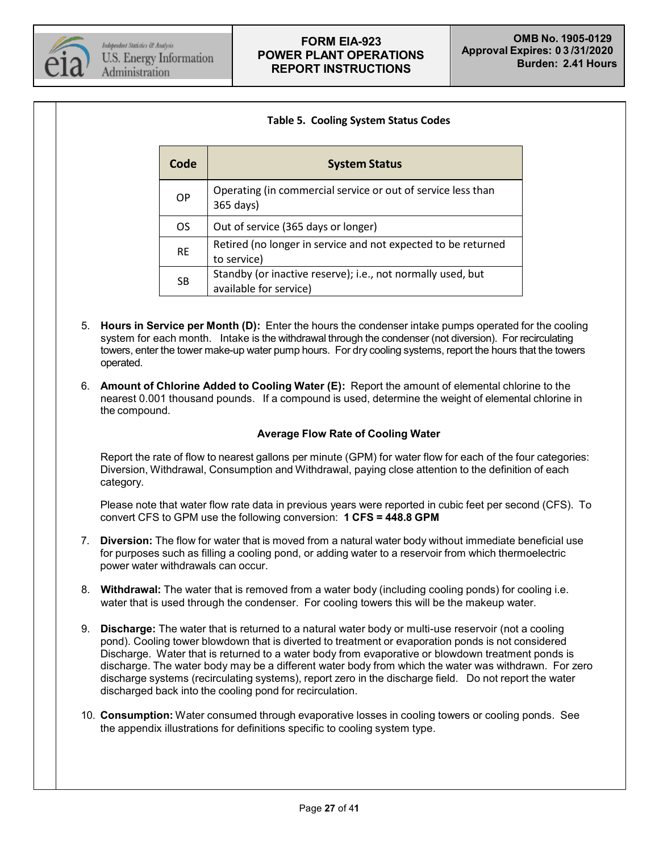

#### **Table 5. Cooling System Status Codes**

| Code      | <b>System Status</b>                                                                  |
|-----------|---------------------------------------------------------------------------------------|
| <b>OP</b> | Operating (in commercial service or out of service less than<br>365 days)             |
| <b>OS</b> | Out of service (365 days or longer)                                                   |
| <b>RE</b> | Retired (no longer in service and not expected to be returned<br>to service)          |
| <b>SB</b> | Standby (or inactive reserve); i.e., not normally used, but<br>available for service) |

- 5. **Hours in Service per Month (D):** Enter the hours the condenser intake pumps operated for the cooling system for each month. Intake is the withdrawal through the condenser (not diversion). For recirculating towers, enter the tower make-up water pump hours. For dry cooling systems, report the hours that the towers operated.
- 6. **Amount of Chlorine Added to Cooling Water (E):** Report the amount of elemental chlorine to the nearest 0.001 thousand pounds. If a compound is used, determine the weight of elemental chlorine in the compound.

### **Average Flow Rate of Cooling Water**

Report the rate of flow to nearest gallons per minute (GPM) for water flow for each of the four categories: Diversion, Withdrawal, Consumption and Withdrawal, paying close attention to the definition of each category.

Please note that water flow rate data in previous years were reported in cubic feet per second (CFS). To convert CFS to GPM use the following conversion: **1 CFS = 448.8 GPM**

- 7. **Diversion:** The flow for water that is moved from a natural water body without immediate beneficial use for purposes such as filling a cooling pond, or adding water to a reservoir from which thermoelectric power water withdrawals can occur.
- 8. **Withdrawal:** The water that is removed from a water body (including cooling ponds) for cooling i.e. water that is used through the condenser. For cooling towers this will be the makeup water.
- 9. **Discharge:** The water that is returned to a natural water body or multi-use reservoir (not a cooling pond). Cooling tower blowdown that is diverted to treatment or evaporation ponds is not considered Discharge. Water that is returned to a water body from evaporative or blowdown treatment ponds is discharge. The water body may be a different water body from which the water was withdrawn. For zero discharge systems (recirculating systems), report zero in the discharge field. Do not report the water discharged back into the cooling pond for recirculation.
- 10. **Consumption:** Water consumed through evaporative losses in cooling towers or cooling ponds. See the appendix illustrations for definitions specific to cooling system type.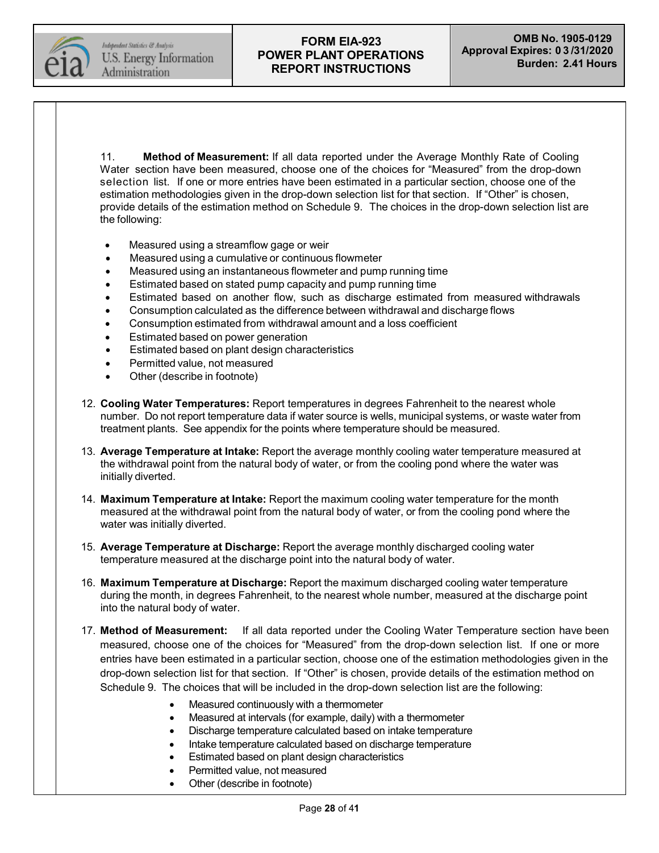Independent Statistics & Analysis U.S. Energy Information Administration

## **FORM EIA-923 POWER PLANT OPERATIONS REPORT INSTRUCTIONS**

11. **Method of Measurement:** If all data reported under the Average Monthly Rate of Cooling Water section have been measured, choose one of the choices for "Measured" from the drop-down selection list. If one or more entries have been estimated in a particular section, choose one of the estimation methodologies given in the drop-down selection list for that section. If "Other" is chosen, provide details of the estimation method on Schedule 9. The choices in the drop-down selection list are the following:

- Measured using a streamflow gage or weir
- Measured using a cumulative or continuous flowmeter
- Measured using an instantaneous flowmeter and pump running time
- Estimated based on stated pump capacity and pump running time
- Estimated based on another flow, such as discharge estimated from measured withdrawals
- Consumption calculated as the difference between withdrawal and discharge flows
- Consumption estimated from withdrawal amount and a loss coefficient
- Estimated based on power generation
- Estimated based on plant design characteristics
- Permitted value, not measured
- Other (describe in footnote)
- 12. **Cooling Water Temperatures:** Report temperatures in degrees Fahrenheit to the nearest whole number. Do not report temperature data if water source is wells, municipal systems, or waste water from treatment plants. See appendix for the points where temperature should be measured.
- 13. **Average Temperature at Intake:** Report the average monthly cooling water temperature measured at the withdrawal point from the natural body of water, or from the cooling pond where the water was initially diverted.
- 14. **Maximum Temperature at Intake:** Report the maximum cooling water temperature for the month measured at the withdrawal point from the natural body of water, or from the cooling pond where the water was initially diverted.
- 15. **Average Temperature at Discharge:** Report the average monthly discharged cooling water temperature measured at the discharge point into the natural body of water.
- 16. **Maximum Temperature at Discharge:** Report the maximum discharged cooling water temperature during the month, in degrees Fahrenheit, to the nearest whole number, measured at the discharge point into the natural body of water.
- 17. **Method of Measurement:** If all data reported under the Cooling Water Temperature section have been measured, choose one of the choices for "Measured" from the drop-down selection list. If one or more entries have been estimated in a particular section, choose one of the estimation methodologies given in the drop-down selection list for that section. If "Other" is chosen, provide details of the estimation method on Schedule 9. The choices that will be included in the drop-down selection list are the following:
	- Measured continuously with a thermometer
	- Measured at intervals (for example, daily) with a thermometer
	- Discharge temperature calculated based on intake temperature
	- Intake temperature calculated based on discharge temperature
	- Estimated based on plant design characteristics
	- Permitted value, not measured
	- Other (describe in footnote)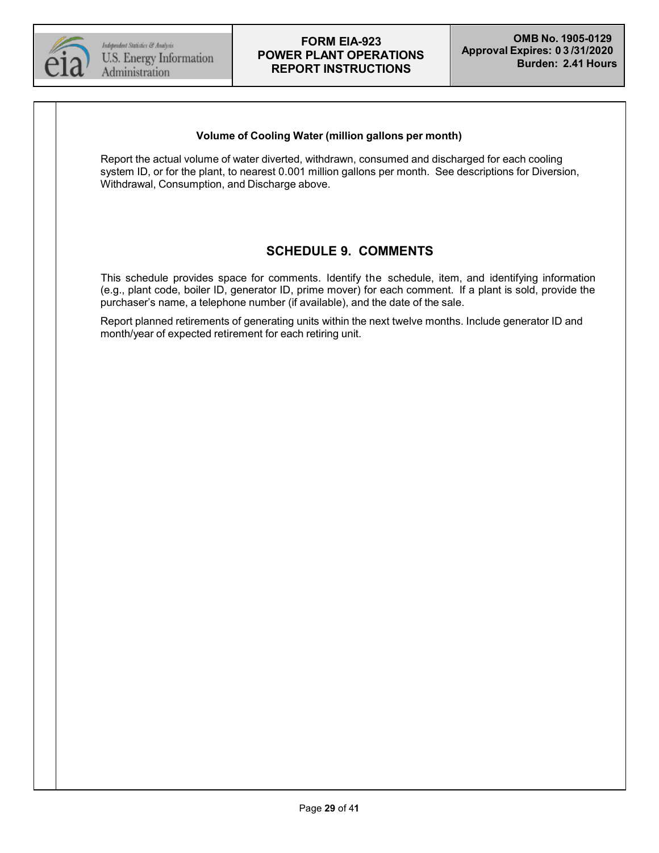

#### **Volume of Cooling Water (million gallons per month)**

Report the actual volume of water diverted, withdrawn, consumed and discharged for each cooling system ID, or for the plant, to nearest 0.001 million gallons per month. See descriptions for Diversion, Withdrawal, Consumption, and Discharge above.

# **SCHEDULE 9. COMMENTS**

This schedule provides space for comments. Identify the schedule, item, and identifying information (e.g., plant code, boiler ID, generator ID, prime mover) for each comment. If a plant is sold, provide the purchaser's name, a telephone number (if available), and the date of the sale.

Report planned retirements of generating units within the next twelve months. Include generator ID and month/year of expected retirement for each retiring unit.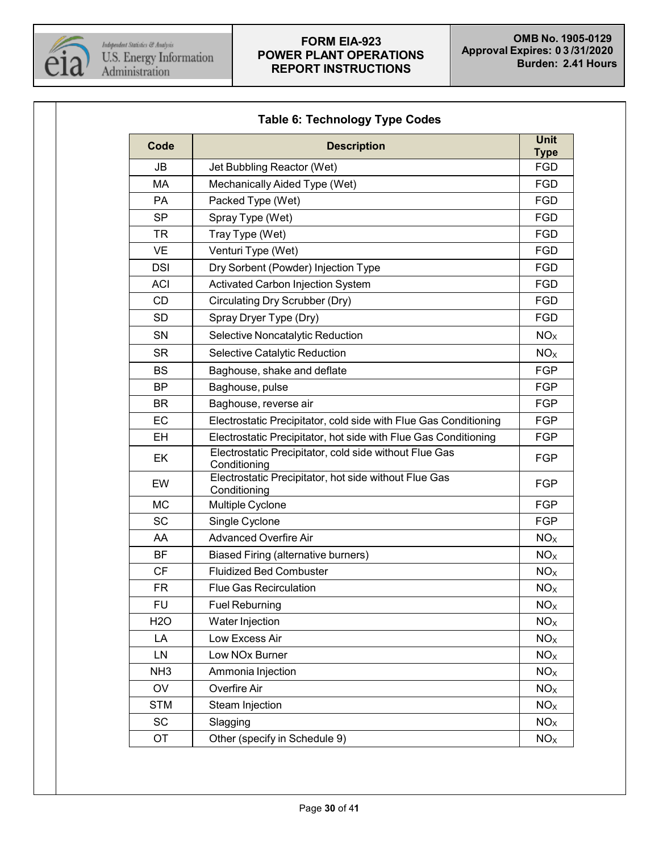

<span id="page-29-0"></span>

| Code            | <b>Description</b>                                                     |                           |  |  |  |  |
|-----------------|------------------------------------------------------------------------|---------------------------|--|--|--|--|
| <b>JB</b>       | Jet Bubbling Reactor (Wet)                                             | <b>Type</b><br><b>FGD</b> |  |  |  |  |
| MA              | Mechanically Aided Type (Wet)                                          |                           |  |  |  |  |
| <b>PA</b>       | Packed Type (Wet)                                                      | <b>FGD</b>                |  |  |  |  |
| <b>SP</b>       | Spray Type (Wet)                                                       | <b>FGD</b>                |  |  |  |  |
| TR              | Tray Type (Wet)                                                        | <b>FGD</b>                |  |  |  |  |
| <b>VE</b>       | Venturi Type (Wet)                                                     | <b>FGD</b>                |  |  |  |  |
| <b>DSI</b>      | Dry Sorbent (Powder) Injection Type                                    | <b>FGD</b>                |  |  |  |  |
| <b>ACI</b>      | Activated Carbon Injection System                                      | <b>FGD</b>                |  |  |  |  |
| CD              | Circulating Dry Scrubber (Dry)                                         | <b>FGD</b>                |  |  |  |  |
| <b>SD</b>       | Spray Dryer Type (Dry)                                                 | <b>FGD</b>                |  |  |  |  |
| SN              | Selective Noncatalytic Reduction                                       | NO <sub>X</sub>           |  |  |  |  |
| <b>SR</b>       | Selective Catalytic Reduction                                          | NO <sub>X</sub>           |  |  |  |  |
| BS              | Baghouse, shake and deflate                                            | <b>FGP</b>                |  |  |  |  |
| <b>BP</b>       | Baghouse, pulse                                                        | <b>FGP</b>                |  |  |  |  |
| <b>BR</b>       | Baghouse, reverse air                                                  |                           |  |  |  |  |
| EC              | Electrostatic Precipitator, cold side with Flue Gas Conditioning       |                           |  |  |  |  |
| <b>EH</b>       | Electrostatic Precipitator, hot side with Flue Gas Conditioning        |                           |  |  |  |  |
| EK              | Electrostatic Precipitator, cold side without Flue Gas<br>Conditioning |                           |  |  |  |  |
| EW              | Electrostatic Precipitator, hot side without Flue Gas<br>Conditioning  |                           |  |  |  |  |
| <b>MC</b>       | Multiple Cyclone                                                       |                           |  |  |  |  |
| <b>SC</b>       | Single Cyclone                                                         |                           |  |  |  |  |
| AA              | <b>Advanced Overfire Air</b>                                           |                           |  |  |  |  |
| <b>BF</b>       | <b>Biased Firing (alternative burners)</b>                             | NO <sub>X</sub>           |  |  |  |  |
| <b>CF</b>       | <b>Fluidized Bed Combuster</b>                                         | NO <sub>x</sub>           |  |  |  |  |
| <b>FR</b>       | <b>Flue Gas Recirculation</b>                                          | NO <sub>X</sub>           |  |  |  |  |
| <b>FU</b>       | <b>Fuel Reburning</b>                                                  | NO <sub>X</sub>           |  |  |  |  |
| <b>H2O</b>      | Water Injection                                                        | NO <sub>X</sub>           |  |  |  |  |
| LA              | Low Excess Air                                                         | NO <sub>X</sub>           |  |  |  |  |
| LN              | Low NOx Burner                                                         | NO <sub>x</sub>           |  |  |  |  |
| NH <sub>3</sub> | Ammonia Injection                                                      | NO <sub>X</sub>           |  |  |  |  |
| OV              | Overfire Air                                                           | NO <sub>x</sub>           |  |  |  |  |
| <b>STM</b>      | Steam Injection                                                        | NO <sub>x</sub>           |  |  |  |  |
| <b>SC</b>       | Slagging                                                               | NO <sub>x</sub>           |  |  |  |  |
| OT              | Other (specify in Schedule 9)                                          |                           |  |  |  |  |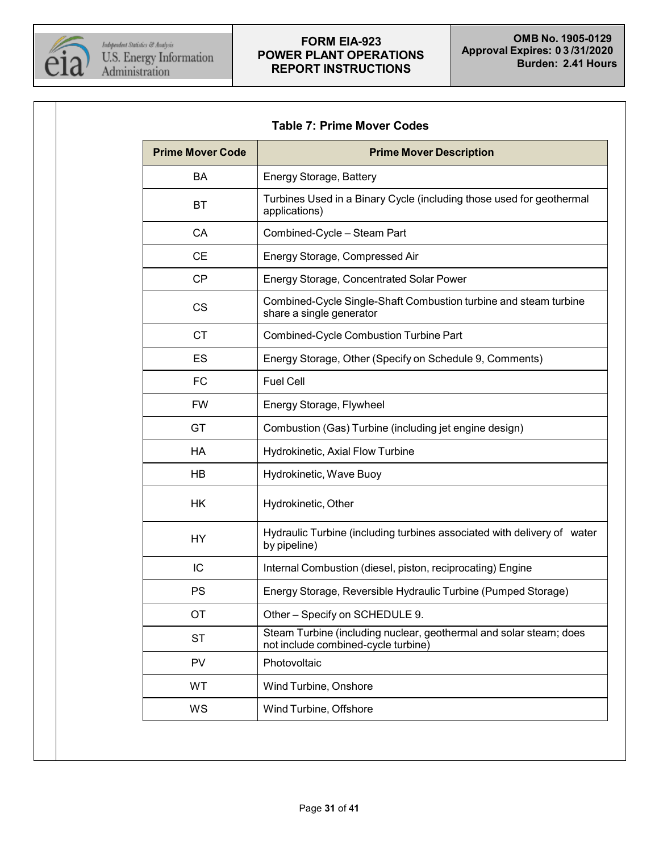

<span id="page-30-0"></span>

| <b>Table 7: Prime Mover Codes</b> |
|-----------------------------------|
|-----------------------------------|

| <b>Prime Mover Code</b> | <b>Prime Mover Description</b>                                                                            |  |  |  |  |  |  |
|-------------------------|-----------------------------------------------------------------------------------------------------------|--|--|--|--|--|--|
| BA                      | Energy Storage, Battery                                                                                   |  |  |  |  |  |  |
| ВT                      | Turbines Used in a Binary Cycle (including those used for geothermal<br>applications)                     |  |  |  |  |  |  |
| CA                      | Combined-Cycle - Steam Part                                                                               |  |  |  |  |  |  |
| <b>CE</b>               | Energy Storage, Compressed Air                                                                            |  |  |  |  |  |  |
| CP                      | Energy Storage, Concentrated Solar Power                                                                  |  |  |  |  |  |  |
| <b>CS</b>               | Combined-Cycle Single-Shaft Combustion turbine and steam turbine<br>share a single generator              |  |  |  |  |  |  |
| <b>CT</b>               | Combined-Cycle Combustion Turbine Part                                                                    |  |  |  |  |  |  |
| ES                      | Energy Storage, Other (Specify on Schedule 9, Comments)                                                   |  |  |  |  |  |  |
| <b>FC</b>               | <b>Fuel Cell</b>                                                                                          |  |  |  |  |  |  |
| <b>FW</b>               | Energy Storage, Flywheel                                                                                  |  |  |  |  |  |  |
| GT                      | Combustion (Gas) Turbine (including jet engine design)                                                    |  |  |  |  |  |  |
| HA                      | Hydrokinetic, Axial Flow Turbine                                                                          |  |  |  |  |  |  |
| <b>HB</b>               | Hydrokinetic, Wave Buoy                                                                                   |  |  |  |  |  |  |
| HK                      | Hydrokinetic, Other                                                                                       |  |  |  |  |  |  |
| <b>HY</b>               | Hydraulic Turbine (including turbines associated with delivery of water<br>by pipeline)                   |  |  |  |  |  |  |
| IC                      | Internal Combustion (diesel, piston, reciprocating) Engine                                                |  |  |  |  |  |  |
| <b>PS</b>               | Energy Storage, Reversible Hydraulic Turbine (Pumped Storage)                                             |  |  |  |  |  |  |
| ОT                      | Other - Specify on SCHEDULE 9.                                                                            |  |  |  |  |  |  |
| <b>ST</b>               | Steam Turbine (including nuclear, geothermal and solar steam; does<br>not include combined-cycle turbine) |  |  |  |  |  |  |
| <b>PV</b>               | Photovoltaic                                                                                              |  |  |  |  |  |  |
| WT                      | Wind Turbine, Onshore                                                                                     |  |  |  |  |  |  |
| WS                      | Wind Turbine, Offshore                                                                                    |  |  |  |  |  |  |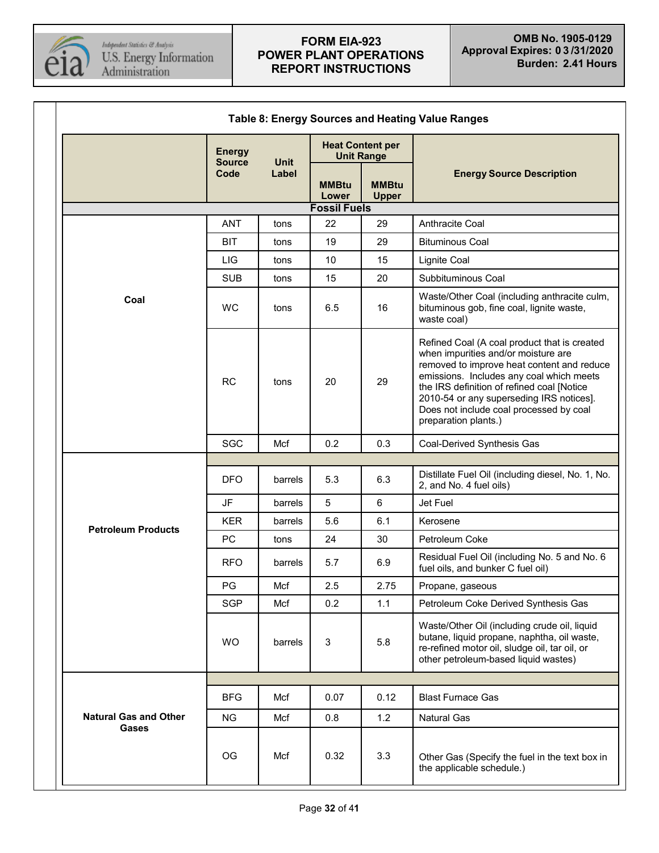

<span id="page-31-0"></span>

| <b>Table 8: Energy Sources and Heating Value Ranges</b> |                                |             |                                              |                              |                                                                                                                                                                                                                                                                                                                                            |  |
|---------------------------------------------------------|--------------------------------|-------------|----------------------------------------------|------------------------------|--------------------------------------------------------------------------------------------------------------------------------------------------------------------------------------------------------------------------------------------------------------------------------------------------------------------------------------------|--|
|                                                         | <b>Energy</b><br><b>Source</b> | <b>Unit</b> | <b>Heat Content per</b><br><b>Unit Range</b> |                              |                                                                                                                                                                                                                                                                                                                                            |  |
|                                                         | Code                           | Label       | <b>MMBtu</b><br>Lower                        | <b>MMBtu</b><br><b>Upper</b> | <b>Energy Source Description</b>                                                                                                                                                                                                                                                                                                           |  |
|                                                         |                                |             | <b>Fossil Fuels</b>                          |                              |                                                                                                                                                                                                                                                                                                                                            |  |
|                                                         | <b>ANT</b>                     | tons        | 22                                           | 29                           | Anthracite Coal                                                                                                                                                                                                                                                                                                                            |  |
|                                                         | <b>BIT</b>                     | tons        | 19                                           | 29                           | <b>Bituminous Coal</b>                                                                                                                                                                                                                                                                                                                     |  |
|                                                         | LIG                            | tons        | 10                                           | 15                           | Lignite Coal                                                                                                                                                                                                                                                                                                                               |  |
|                                                         | <b>SUB</b>                     | tons        | 15                                           | 20                           | Subbituminous Coal                                                                                                                                                                                                                                                                                                                         |  |
| Coal                                                    | <b>WC</b>                      | tons        | 6.5                                          | 16                           | Waste/Other Coal (including anthracite culm,<br>bituminous gob, fine coal, lignite waste,<br>waste coal)                                                                                                                                                                                                                                   |  |
|                                                         | <b>RC</b>                      | tons        | 20                                           | 29                           | Refined Coal (A coal product that is created<br>when impurities and/or moisture are<br>removed to improve heat content and reduce<br>emissions. Includes any coal which meets<br>the IRS definition of refined coal [Notice<br>2010-54 or any superseding IRS notices].<br>Does not include coal processed by coal<br>preparation plants.) |  |
|                                                         | <b>SGC</b>                     | Mcf         | 0.2                                          | 0.3                          | Coal-Derived Synthesis Gas                                                                                                                                                                                                                                                                                                                 |  |
|                                                         |                                |             |                                              |                              |                                                                                                                                                                                                                                                                                                                                            |  |
|                                                         | <b>DFO</b>                     | barrels     | 5.3                                          | 6.3                          | Distillate Fuel Oil (including diesel, No. 1, No.<br>2, and No. 4 fuel oils)                                                                                                                                                                                                                                                               |  |
|                                                         | <b>JF</b>                      | barrels     | 5                                            | $6\phantom{1}$               | Jet Fuel                                                                                                                                                                                                                                                                                                                                   |  |
| <b>Petroleum Products</b>                               | <b>KER</b>                     | barrels     | 5.6                                          | 6.1                          | Kerosene                                                                                                                                                                                                                                                                                                                                   |  |
|                                                         | PC                             | tons        | 24                                           | 30                           | Petroleum Coke                                                                                                                                                                                                                                                                                                                             |  |
|                                                         | <b>RFO</b>                     | barrels     | 5.7                                          | 6.9                          | Residual Fuel Oil (including No. 5 and No. 6<br>fuel oils, and bunker C fuel oil)                                                                                                                                                                                                                                                          |  |
|                                                         | PG                             | Mcf         | 2.5                                          | 2.75                         | Propane, gaseous                                                                                                                                                                                                                                                                                                                           |  |
|                                                         | <b>SGP</b>                     | Mcf         | 0.2                                          | 1.1                          | Petroleum Coke Derived Synthesis Gas                                                                                                                                                                                                                                                                                                       |  |
|                                                         | <b>WO</b>                      | barrels     | 3                                            | 5.8                          | Waste/Other Oil (including crude oil, liquid<br>butane, liquid propane, naphtha, oil waste,<br>re-refined motor oil, sludge oil, tar oil, or<br>other petroleum-based liquid wastes)                                                                                                                                                       |  |
|                                                         |                                |             |                                              |                              |                                                                                                                                                                                                                                                                                                                                            |  |
|                                                         | <b>BFG</b>                     | Mcf         | 0.07                                         | 0.12                         | <b>Blast Furnace Gas</b>                                                                                                                                                                                                                                                                                                                   |  |
| <b>Natural Gas and Other</b>                            | <b>NG</b>                      | Mcf         | 0.8                                          | 1.2                          | <b>Natural Gas</b>                                                                                                                                                                                                                                                                                                                         |  |
| Gases                                                   | OG                             | Mcf         | 0.32                                         | 3.3                          | Other Gas (Specify the fuel in the text box in<br>the applicable schedule.)                                                                                                                                                                                                                                                                |  |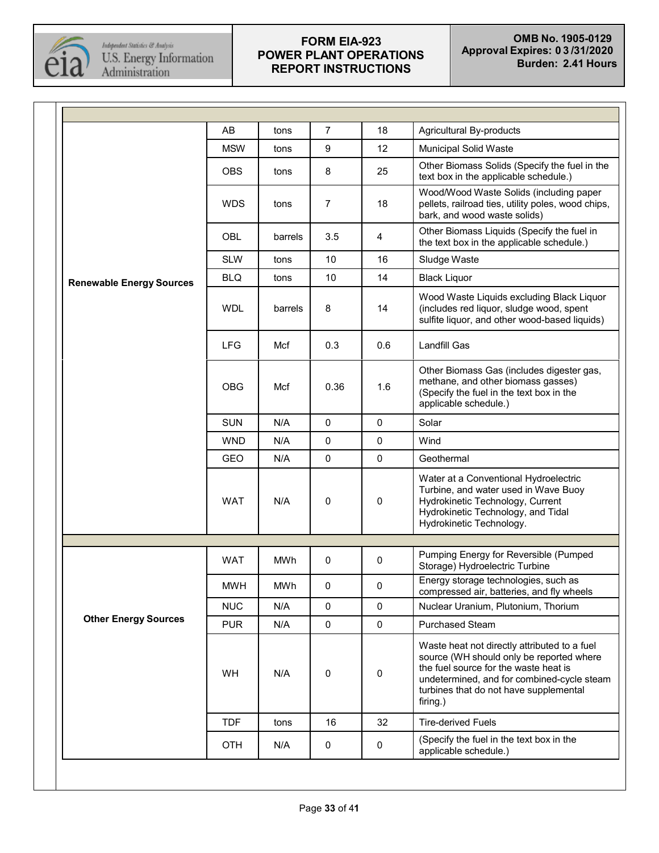

|                                 | AB         | tons       | 7           | 18                  | Agricultural By-products                                                                                                                                                                                                              |  |  |
|---------------------------------|------------|------------|-------------|---------------------|---------------------------------------------------------------------------------------------------------------------------------------------------------------------------------------------------------------------------------------|--|--|
|                                 | <b>MSW</b> | tons       | 9           | 12                  | Municipal Solid Waste                                                                                                                                                                                                                 |  |  |
|                                 | <b>OBS</b> | tons       | 8           | 25                  | Other Biomass Solids (Specify the fuel in the<br>text box in the applicable schedule.)                                                                                                                                                |  |  |
|                                 | <b>WDS</b> | tons       | 7           | 18                  | Wood/Wood Waste Solids (including paper<br>pellets, railroad ties, utility poles, wood chips,<br>bark, and wood waste solids)                                                                                                         |  |  |
|                                 | OBL        | barrels    | 3.5         | 4                   | Other Biomass Liquids (Specify the fuel in<br>the text box in the applicable schedule.)                                                                                                                                               |  |  |
|                                 | <b>SLW</b> | tons       | 10          | 16                  | Sludge Waste                                                                                                                                                                                                                          |  |  |
| <b>Renewable Energy Sources</b> | <b>BLQ</b> | tons       | 10          | 14                  | <b>Black Liquor</b>                                                                                                                                                                                                                   |  |  |
|                                 | <b>WDL</b> | barrels    | 8           | 14                  | Wood Waste Liquids excluding Black Liquor<br>(includes red liquor, sludge wood, spent<br>sulfite liquor, and other wood-based liquids)                                                                                                |  |  |
|                                 | <b>LFG</b> | Mcf        | 0.3         | 0.6                 | <b>Landfill Gas</b>                                                                                                                                                                                                                   |  |  |
|                                 | <b>OBG</b> | Mcf        | 0.36        | 1.6                 | Other Biomass Gas (includes digester gas,<br>methane, and other biomass gasses)<br>(Specify the fuel in the text box in the<br>applicable schedule.)                                                                                  |  |  |
|                                 | <b>SUN</b> | N/A        | 0           | $\mathbf 0$         | Solar                                                                                                                                                                                                                                 |  |  |
|                                 | <b>WND</b> | N/A        | 0           | $\mathbf 0$         | Wind                                                                                                                                                                                                                                  |  |  |
|                                 | <b>GEO</b> | N/A        | $\pmb{0}$   | $\pmb{0}$           | Geothermal                                                                                                                                                                                                                            |  |  |
|                                 | <b>WAT</b> | N/A        | 0           | $\pmb{0}$           | Water at a Conventional Hydroelectric<br>Turbine, and water used in Wave Buoy<br>Hydrokinetic Technology, Current<br>Hydrokinetic Technology, and Tidal<br>Hydrokinetic Technology.                                                   |  |  |
|                                 |            |            |             |                     |                                                                                                                                                                                                                                       |  |  |
|                                 | <b>WAT</b> | <b>MWh</b> | 0           | $\mathbf 0$         | Pumping Energy for Reversible (Pumped<br>Storage) Hydroelectric Turbine                                                                                                                                                               |  |  |
|                                 | <b>MWH</b> | MWh        | 0           | 0                   | Energy storage technologies, such as<br>compressed air, batteries, and fly wheels                                                                                                                                                     |  |  |
|                                 | <b>NUC</b> | N/A        | 0           | $\mathbf 0$         | Nuclear Uranium, Plutonium, Thorium                                                                                                                                                                                                   |  |  |
| <b>Other Energy Sources</b>     | <b>PUR</b> | N/A        | $\mathbf 0$ | $\mathsf{O}\xspace$ | Purchased Steam                                                                                                                                                                                                                       |  |  |
|                                 | <b>WH</b>  | N/A        | 0           | $\pmb{0}$           | Waste heat not directly attributed to a fuel<br>source (WH should only be reported where<br>the fuel source for the waste heat is<br>undetermined, and for combined-cycle steam<br>turbines that do not have supplemental<br>firing.) |  |  |
|                                 | <b>TDF</b> | tons       | 16          | 32                  | <b>Tire-derived Fuels</b>                                                                                                                                                                                                             |  |  |
|                                 | <b>OTH</b> | N/A        | 0           | $\mathbf 0$         | (Specify the fuel in the text box in the<br>applicable schedule.)                                                                                                                                                                     |  |  |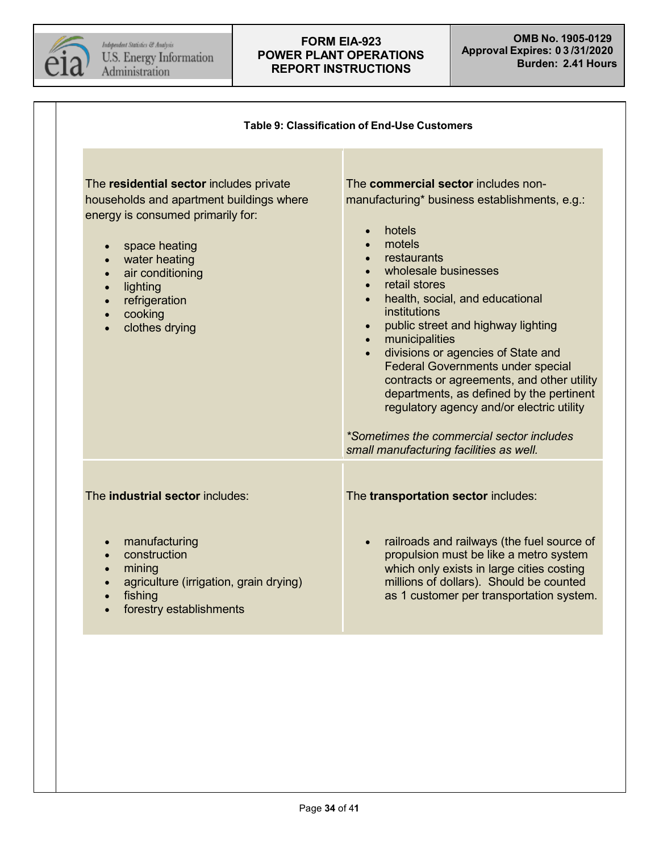

<span id="page-33-0"></span>Τ

| The residential sector includes private<br>households and apartment buildings where<br>energy is consumed primarily for:<br>space heating<br>water heating                  | The commercial sector includes non-<br>manufacturing* business establishments, e.g.:<br>hotels<br>$\bullet$<br>motels<br>$\bullet$<br>restaurants<br>$\bullet$                                                                                                                                                                                                                                                                                                                                           |
|-----------------------------------------------------------------------------------------------------------------------------------------------------------------------------|----------------------------------------------------------------------------------------------------------------------------------------------------------------------------------------------------------------------------------------------------------------------------------------------------------------------------------------------------------------------------------------------------------------------------------------------------------------------------------------------------------|
| air conditioning<br>$\bullet$<br>lighting<br>$\bullet$<br>refrigeration<br>$\bullet$<br>cooking<br>$\bullet$<br>clothes drying<br>$\bullet$                                 | wholesale businesses<br>retail stores<br>health, social, and educational<br>institutions<br>public street and highway lighting<br>$\bullet$<br>municipalities<br>$\bullet$<br>divisions or agencies of State and<br>$\bullet$<br><b>Federal Governments under special</b><br>contracts or agreements, and other utility<br>departments, as defined by the pertinent<br>regulatory agency and/or electric utility<br>*Sometimes the commercial sector includes<br>small manufacturing facilities as well. |
| The <b>industrial sector</b> includes:                                                                                                                                      | The transportation sector includes:                                                                                                                                                                                                                                                                                                                                                                                                                                                                      |
| manufacturing<br>$\bullet$<br>construction<br>$\bullet$<br>mining<br>agriculture (irrigation, grain drying)<br>$\bullet$<br>fishing<br>$\bullet$<br>forestry establishments | railroads and railways (the fuel source of<br>propulsion must be like a metro system<br>which only exists in large cities costing<br>millions of dollars). Should be counted<br>as 1 customer per transportation system.                                                                                                                                                                                                                                                                                 |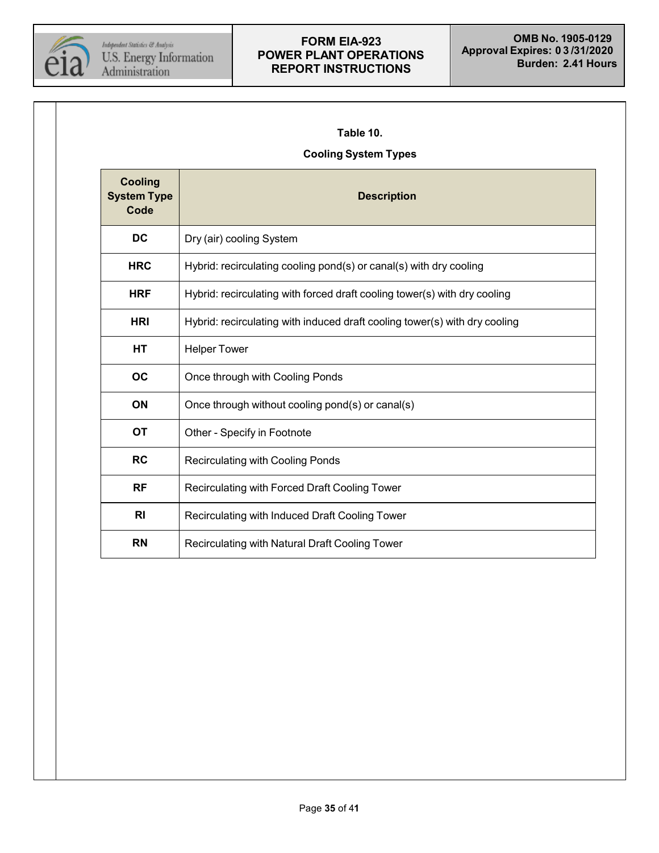

### <span id="page-34-0"></span>**Table 10.**

## **Cooling System Types**

| <b>Cooling</b><br><b>System Type</b><br>Code | <b>Description</b>                                                         |
|----------------------------------------------|----------------------------------------------------------------------------|
| DC                                           | Dry (air) cooling System                                                   |
| <b>HRC</b>                                   | Hybrid: recirculating cooling pond(s) or canal(s) with dry cooling         |
| <b>HRF</b>                                   | Hybrid: recirculating with forced draft cooling tower(s) with dry cooling  |
| <b>HRI</b>                                   | Hybrid: recirculating with induced draft cooling tower(s) with dry cooling |
| HТ                                           | <b>Helper Tower</b>                                                        |
| <b>OC</b>                                    | Once through with Cooling Ponds                                            |
| ON                                           | Once through without cooling pond(s) or canal(s)                           |
| <b>OT</b>                                    | Other - Specify in Footnote                                                |
| <b>RC</b>                                    | Recirculating with Cooling Ponds                                           |
| <b>RF</b>                                    | Recirculating with Forced Draft Cooling Tower                              |
| R <sub>l</sub>                               | Recirculating with Induced Draft Cooling Tower                             |
| <b>RN</b>                                    | Recirculating with Natural Draft Cooling Tower                             |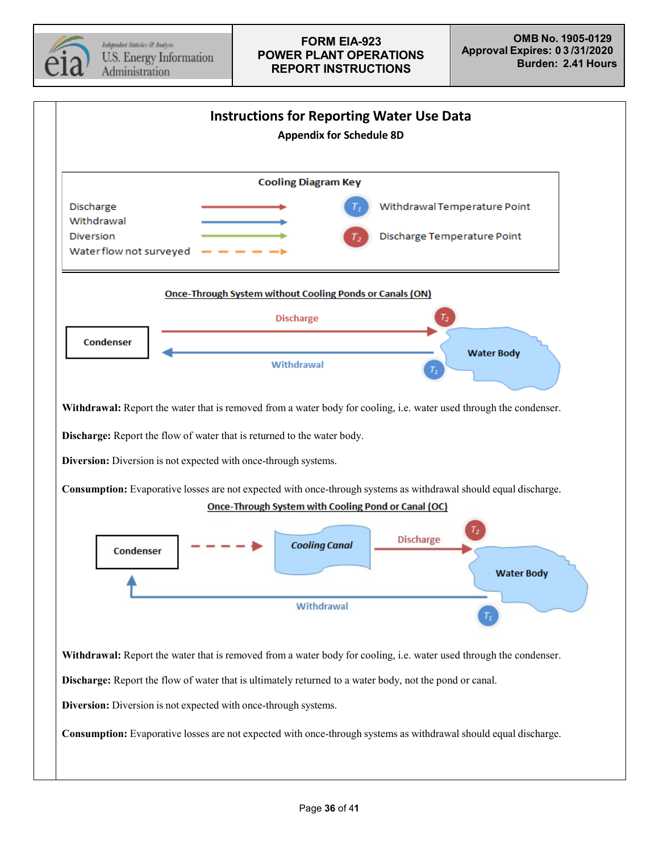

<span id="page-35-0"></span>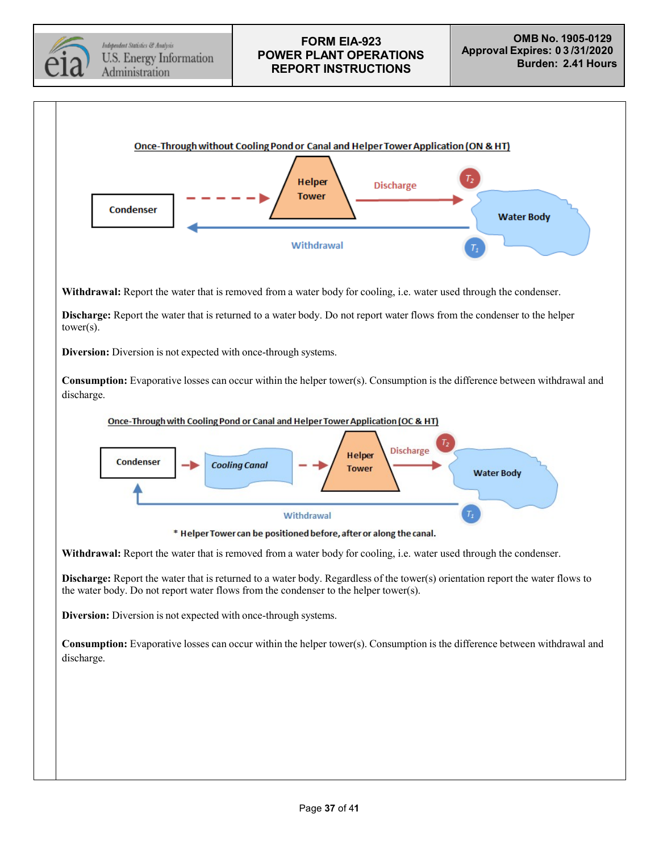

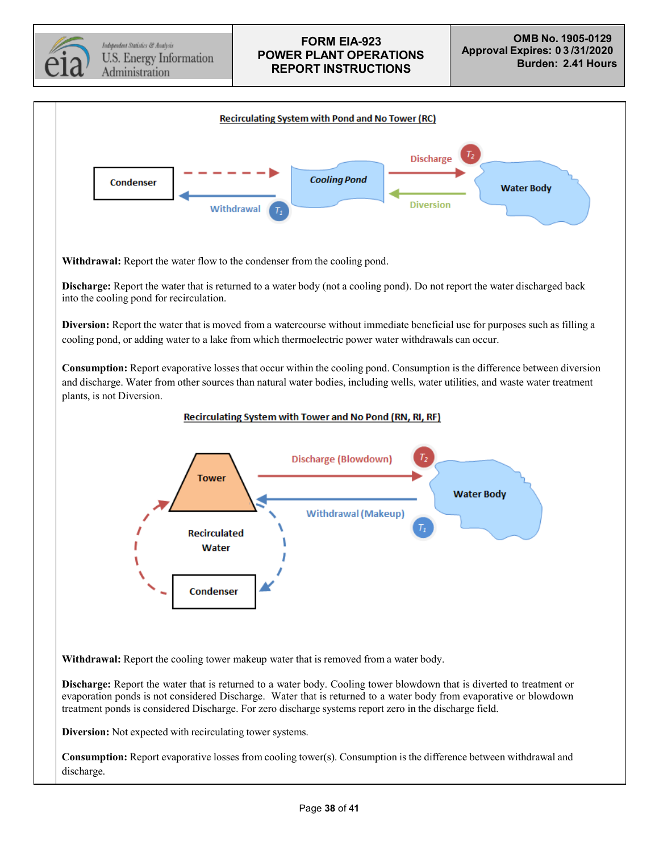Independent Statistics & Analysis U.S. Energy Information Administration

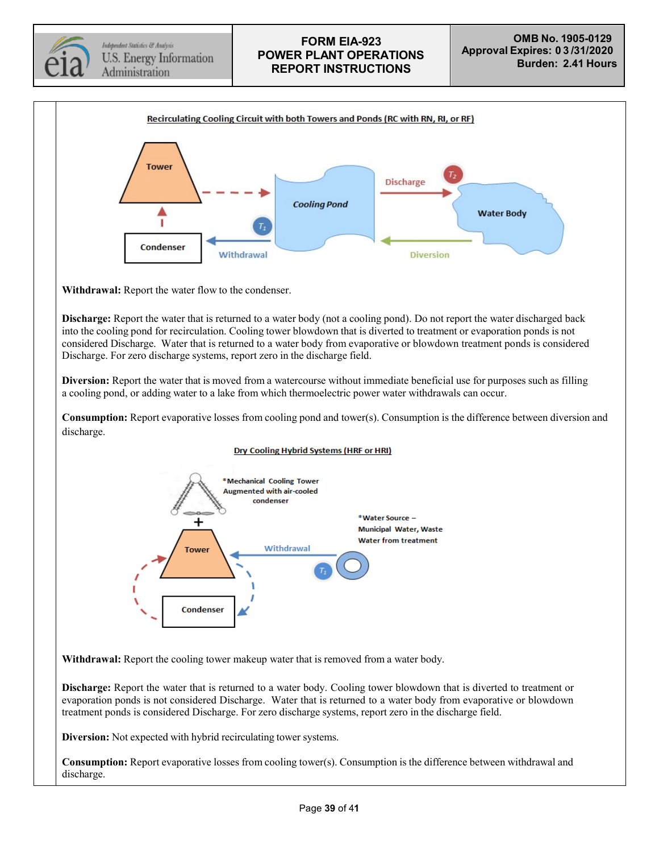

Independent Statistics & Analysis U.S. Energy Information Administration

## **FORM EIA-923 POWER PLANT OPERATIONS REPORT INSTRUCTIONS**



**Withdrawal:** Report the water flow to the condenser.

**Discharge:** Report the water that is returned to a water body (not a cooling pond). Do not report the water discharged back into the cooling pond for recirculation. Cooling tower blowdown that is diverted to treatment or evaporation ponds is not considered Discharge. Water that is returned to a water body from evaporative or blowdown treatment ponds is considered Discharge. For zero discharge systems, report zero in the discharge field.

**Diversion:** Report the water that is moved from a watercourse without immediate beneficial use for purposes such as filling a cooling pond, or adding water to a lake from which thermoelectric power water withdrawals can occur.

**Consumption:** Report evaporative losses from cooling pond and tower(s). Consumption is the difference between diversion and discharge.

#### Dry Cooling Hybrid Systems (HRF or HRI)



**Withdrawal:** Report the cooling tower makeup water that is removed from a water body.

**Discharge:** Report the water that is returned to a water body. Cooling tower blowdown that is diverted to treatment or evaporation ponds is not considered Discharge. Water that is returned to a water body from evaporative or blowdown treatment ponds is considered Discharge. For zero discharge systems, report zero in the discharge field.

**Diversion:** Not expected with hybrid recirculating tower systems.

**Consumption:** Report evaporative losses from cooling tower(s). Consumption is the difference between withdrawal and discharge.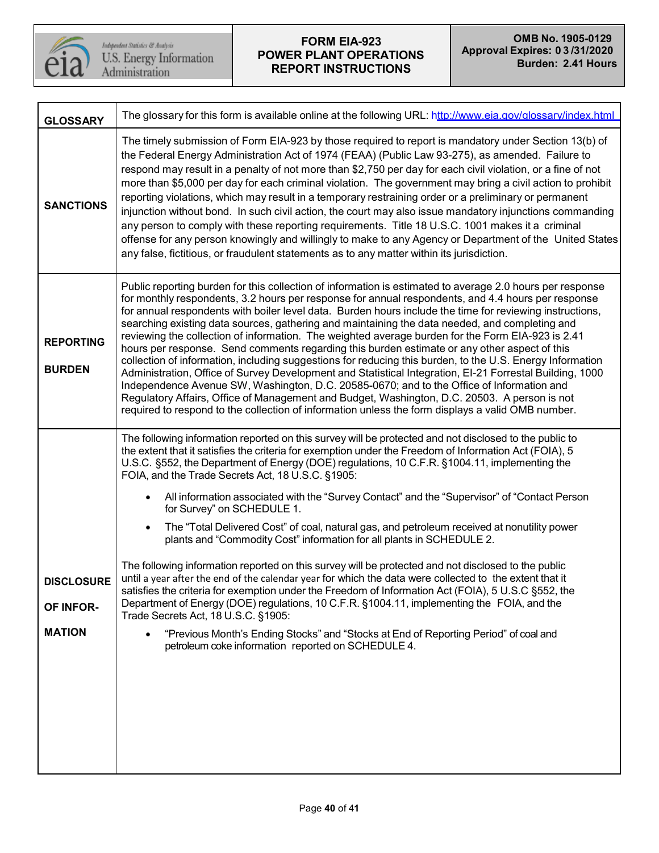

 $\begin{array}{l} \textit{Independent Statistics} \; @~\textit{Analysis} \\ \textit{U.S. Energy Information} \\ \textit{Administration} \end{array}$ 

| <b>GLOSSARY</b>                                 | The glossary for this form is available online at the following URL: http://www.eia.gov/glossary/index.html                                                                                                                                                                                                                                                                                                                                                                                                                                                                                                                                                                                                                                                                                                                                                                                                                                                                                                                                                                                                                                                                                                                                                                                           |
|-------------------------------------------------|-------------------------------------------------------------------------------------------------------------------------------------------------------------------------------------------------------------------------------------------------------------------------------------------------------------------------------------------------------------------------------------------------------------------------------------------------------------------------------------------------------------------------------------------------------------------------------------------------------------------------------------------------------------------------------------------------------------------------------------------------------------------------------------------------------------------------------------------------------------------------------------------------------------------------------------------------------------------------------------------------------------------------------------------------------------------------------------------------------------------------------------------------------------------------------------------------------------------------------------------------------------------------------------------------------|
| <b>SANCTIONS</b>                                | The timely submission of Form EIA-923 by those required to report is mandatory under Section 13(b) of<br>the Federal Energy Administration Act of 1974 (FEAA) (Public Law 93-275), as amended. Failure to<br>respond may result in a penalty of not more than \$2,750 per day for each civil violation, or a fine of not<br>more than \$5,000 per day for each criminal violation. The government may bring a civil action to prohibit<br>reporting violations, which may result in a temporary restraining order or a preliminary or permanent<br>injunction without bond. In such civil action, the court may also issue mandatory injunctions commanding<br>any person to comply with these reporting requirements. Title 18 U.S.C. 1001 makes it a criminal<br>offense for any person knowingly and willingly to make to any Agency or Department of the United States<br>any false, fictitious, or fraudulent statements as to any matter within its jurisdiction.                                                                                                                                                                                                                                                                                                                               |
| <b>REPORTING</b><br><b>BURDEN</b>               | Public reporting burden for this collection of information is estimated to average 2.0 hours per response<br>for monthly respondents, 3.2 hours per response for annual respondents, and 4.4 hours per response<br>for annual respondents with boiler level data. Burden hours include the time for reviewing instructions,<br>searching existing data sources, gathering and maintaining the data needed, and completing and<br>reviewing the collection of information. The weighted average burden for the Form EIA-923 is 2.41<br>hours per response. Send comments regarding this burden estimate or any other aspect of this<br>collection of information, including suggestions for reducing this burden, to the U.S. Energy Information<br>Administration, Office of Survey Development and Statistical Integration, EI-21 Forrestal Building, 1000<br>Independence Avenue SW, Washington, D.C. 20585-0670; and to the Office of Information and<br>Regulatory Affairs, Office of Management and Budget, Washington, D.C. 20503. A person is not<br>required to respond to the collection of information unless the form displays a valid OMB number.                                                                                                                                         |
| <b>DISCLOSURE</b><br>OF INFOR-<br><b>MATION</b> | The following information reported on this survey will be protected and not disclosed to the public to<br>the extent that it satisfies the criteria for exemption under the Freedom of Information Act (FOIA), 5<br>U.S.C. §552, the Department of Energy (DOE) regulations, 10 C.F.R. §1004.11, implementing the<br>FOIA, and the Trade Secrets Act, 18 U.S.C. §1905:<br>All information associated with the "Survey Contact" and the "Supervisor" of "Contact Person<br>for Survey" on SCHEDULE 1.<br>The "Total Delivered Cost" of coal, natural gas, and petroleum received at nonutility power<br>$\bullet$<br>plants and "Commodity Cost" information for all plants in SCHEDULE 2.<br>The following information reported on this survey will be protected and not disclosed to the public<br>until a year after the end of the calendar year for which the data were collected to the extent that it<br>satisfies the criteria for exemption under the Freedom of Information Act (FOIA), 5 U.S.C §552, the<br>Department of Energy (DOE) regulations, 10 C.F.R. §1004.11, implementing the FOIA, and the<br>Trade Secrets Act, 18 U.S.C. §1905:<br>"Previous Month's Ending Stocks" and "Stocks at End of Reporting Period" of coal and<br>petroleum coke information reported on SCHEDULE 4. |